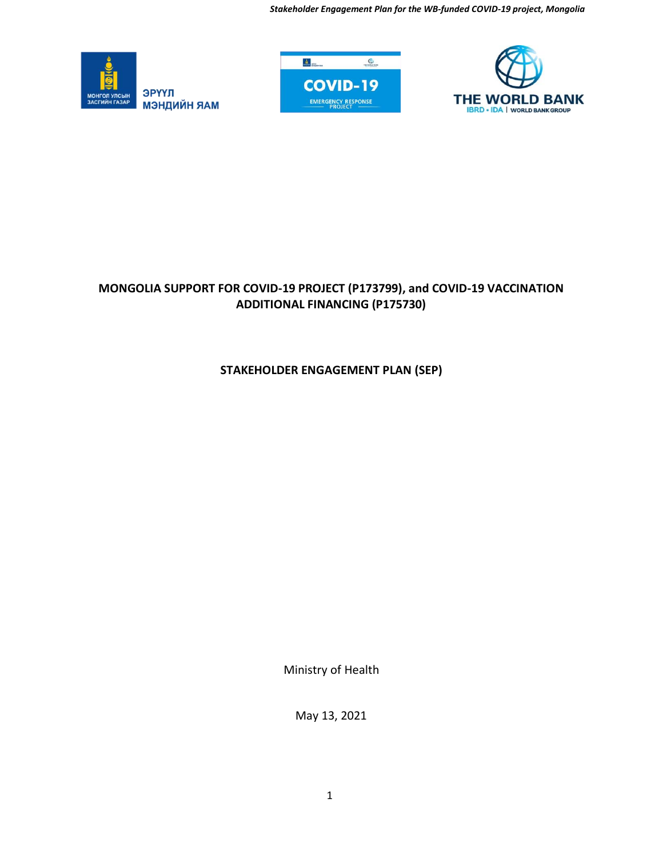*Stakeholder Engagement Plan for the WB-funded COVID-19 project, Mongolia*







# **MONGOLIA SUPPORT FOR COVID-19 PROJECT (P173799), and COVID-19 VACCINATION ADDITIONAL FINANCING (P175730)**

## **STAKEHOLDER ENGAGEMENT PLAN (SEP)**

Ministry of Health

May 13, 2021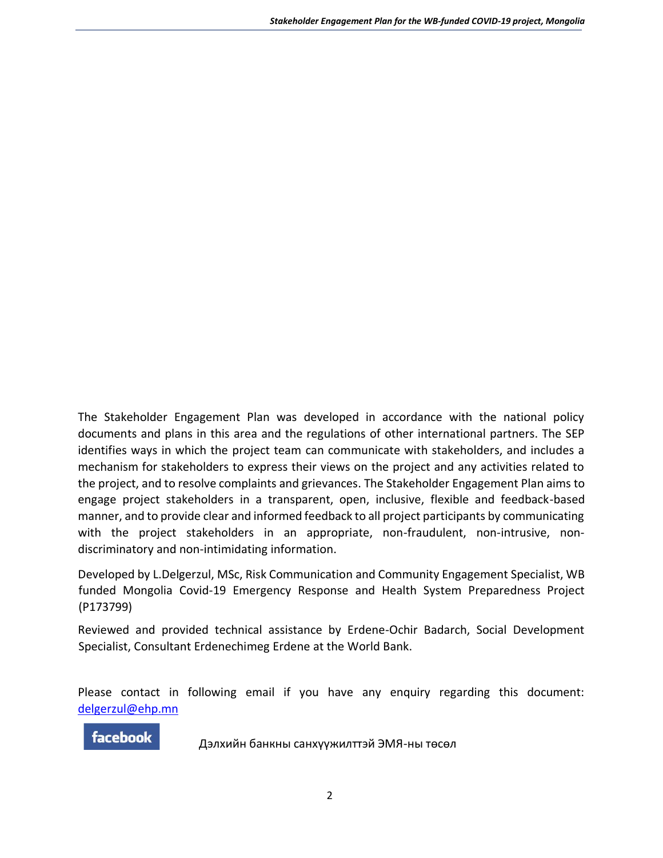The Stakeholder Engagement Plan was developed in accordance with the national policy documents and plans in this area and the regulations of other international partners. The SEP identifies ways in which the project team can communicate with stakeholders, and includes a mechanism for stakeholders to express their views on the project and any activities related to the project, and to resolve complaints and grievances. The Stakeholder Engagement Plan aims to engage project stakeholders in a transparent, open, inclusive, flexible and feedback-based manner, and to provide clear and informed feedback to all project participants by communicating with the project stakeholders in an appropriate, non-fraudulent, non-intrusive, nondiscriminatory and non-intimidating information.

Developed by L.Delgerzul, MSc, Risk Communication and Community Engagement Specialist, WB funded Mongolia Covid-19 Emergency Response and Health System Preparedness Project (P173799)

Reviewed and provided technical assistance by Erdene-Ochir Badarch, Social Development Specialist, Consultant Erdenechimeg Erdene at the World Bank.

Please contact in following email if you have any enquiry regarding this document: [delgerzul@ehp.mn](mailto:delgerzul@ehp.mn)

**facebook** 

Дэлхийн банкны санхүүжилттэй ЭМЯ-ны төсөл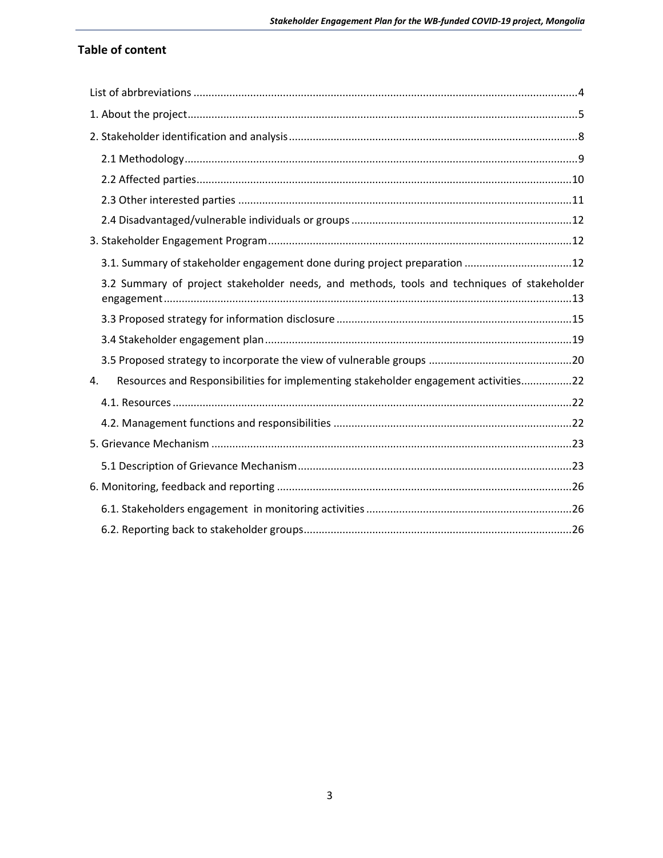# **Table of content**

| 3.1. Summary of stakeholder engagement done during project preparation 12                  |
|--------------------------------------------------------------------------------------------|
| 3.2 Summary of project stakeholder needs, and methods, tools and techniques of stakeholder |
|                                                                                            |
|                                                                                            |
|                                                                                            |
| Resources and Responsibilities for implementing stakeholder engagement activities22<br>4.  |
|                                                                                            |
|                                                                                            |
|                                                                                            |
|                                                                                            |
|                                                                                            |
|                                                                                            |
|                                                                                            |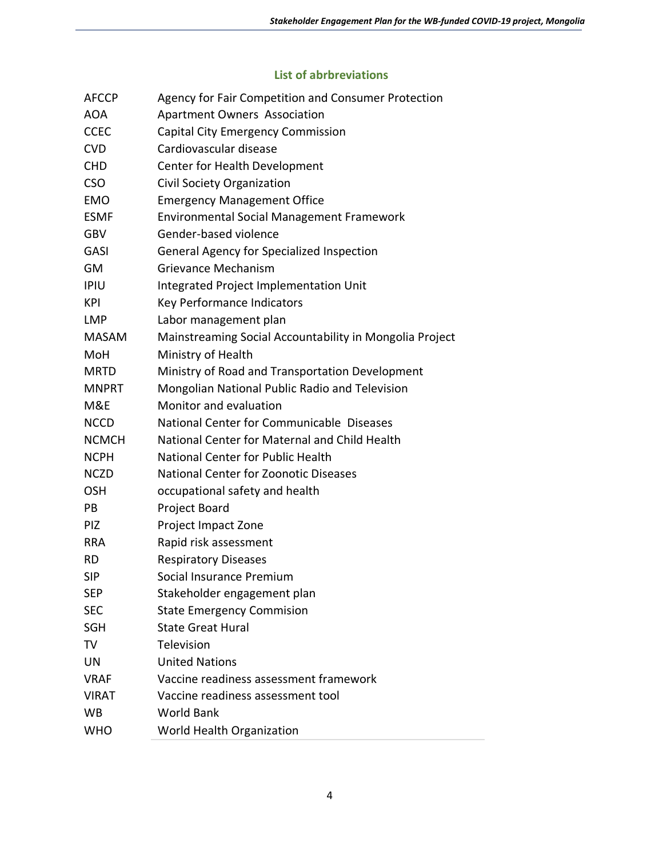### **List of abrbreviations**

<span id="page-3-0"></span>

| <b>AFCCP</b> | Agency for Fair Competition and Consumer Protection     |  |
|--------------|---------------------------------------------------------|--|
| <b>AOA</b>   | <b>Apartment Owners Association</b>                     |  |
| <b>CCEC</b>  | <b>Capital City Emergency Commission</b>                |  |
| <b>CVD</b>   | Cardiovascular disease                                  |  |
| <b>CHD</b>   | Center for Health Development                           |  |
| <b>CSO</b>   | Civil Society Organization                              |  |
| <b>EMO</b>   | <b>Emergency Management Office</b>                      |  |
| <b>ESMF</b>  | <b>Environmental Social Management Framework</b>        |  |
| <b>GBV</b>   | Gender-based violence                                   |  |
| GASI         | General Agency for Specialized Inspection               |  |
| GM           | Grievance Mechanism                                     |  |
| <b>IPIU</b>  | Integrated Project Implementation Unit                  |  |
| KPI          | Key Performance Indicators                              |  |
| <b>LMP</b>   | Labor management plan                                   |  |
| <b>MASAM</b> | Mainstreaming Social Accountability in Mongolia Project |  |
| MoH          | Ministry of Health                                      |  |
| MRTD         | Ministry of Road and Transportation Development         |  |
| <b>MNPRT</b> | Mongolian National Public Radio and Television          |  |
| M&E          | Monitor and evaluation                                  |  |
| <b>NCCD</b>  | National Center for Communicable Diseases               |  |
| <b>NCMCH</b> | National Center for Maternal and Child Health           |  |
| <b>NCPH</b>  | <b>National Center for Public Health</b>                |  |
| <b>NCZD</b>  | National Center for Zoonotic Diseases                   |  |
| <b>OSH</b>   | occupational safety and health                          |  |
| PB           | Project Board                                           |  |
| PIZ          | Project Impact Zone                                     |  |
| <b>RRA</b>   | Rapid risk assessment                                   |  |
| <b>RD</b>    | <b>Respiratory Diseases</b>                             |  |
| <b>SIP</b>   | Social Insurance Premium                                |  |
| <b>SEP</b>   | Stakeholder engagement plan                             |  |
| <b>SEC</b>   | <b>State Emergency Commision</b>                        |  |
| SGH          | <b>State Great Hural</b>                                |  |
| TV           | Television                                              |  |
| UN           | <b>United Nations</b>                                   |  |
| <b>VRAF</b>  | Vaccine readiness assessment framework                  |  |
| <b>VIRAT</b> | Vaccine readiness assessment tool                       |  |
| WB           | <b>World Bank</b>                                       |  |
| <b>WHO</b>   | World Health Organization                               |  |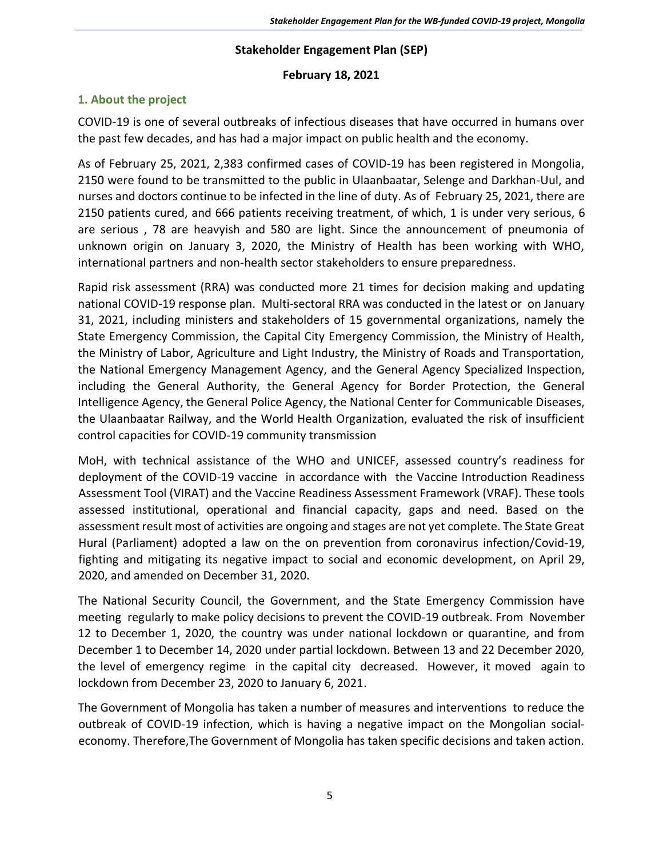### **Stakeholder Engagement Plan (SEP)**

### **February 18, 2021**

## <span id="page-4-0"></span>**1. About the project**

COVID-19 is one of several outbreaks of infectious diseases that have occurred in humans over the past few decades, and has had a major impact on public health and the economy.

As of February 25, 2021, 2,383 confirmed cases of COVID-19 has been registered in Mongolia, 2150 were found to be transmitted to the public in Ulaanbaatar, Selenge and Darkhan-Uul, and nurses and doctors continue to be infected in the line of duty. As of February 25, 2021, there are 2150 patients cured, and 666 patients receiving treatment, of which, 1 is under very serious, 6 are serious , 78 are heavyish and 580 are light. Since the announcement of pneumonia of unknown origin on January 3, 2020, the Ministry of Health has been working with WHO, international partners and non-health sector stakeholders to ensure preparedness.

Rapid risk assessment (RRA) was conducted more 21 times for decision making and updating national COVID-19 response plan. Multi-sectoral RRA was conducted in the latest or on January 31, 2021, including ministers and stakeholders of 15 governmental organizations, namely the State Emergency Commission, the Capital City Emergency Commission, the Ministry of Health, the Ministry of Labor, Agriculture and Light Industry, the Ministry of Roads and Transportation, the National Emergency Management Agency, and the General Agency Specialized Inspection, including the General Authority, the General Agency for Border Protection, the General Intelligence Agency, the General Police Agency, the National Center for Communicable Diseases, the Ulaanbaatar Railway, and the World Health Organization, evaluated the risk of insufficient control capacities for COVID-19 community transmission

MoH, with technical assistance of the WHO and UNICEF, assessed country's readiness for deployment of the COVID-19 vaccine in accordance with the Vaccine Introduction Readiness Assessment Tool (VIRAT) and the Vaccine Readiness Assessment Framework (VRAF). These tools assessed institutional, operational and financial capacity, gaps and need. Based on the assessment result most of activities are ongoing and stages are not yet complete. The State Great Hural (Parliament) adopted a law on the on prevention from coronavirus infection/Covid-19, fighting and mitigating its negative impact to social and economic development, on April 29, 2020, and amended on December 31, 2020.

The National Security Council, the Government, and the State Emergency Commission have meeting regularly to make policy decisions to prevent the COVID-19 outbreak. From November 12 to December 1, 2020, the country was under national lockdown or quarantine, and from December 1 to December 14, 2020 under partial lockdown. Between 13 and 22 December 2020, the level of emergency regime in the capital city decreased. However, it moved again to lockdown from December 23, 2020 to January 6, 2021.

The Government of Mongolia has taken a number of measures and interventions to reduce the outbreak of COVID-19 infection, which is having a negative impact on the Mongolian socialeconomy. Therefore,The Government of Mongolia has taken specific decisions and taken action.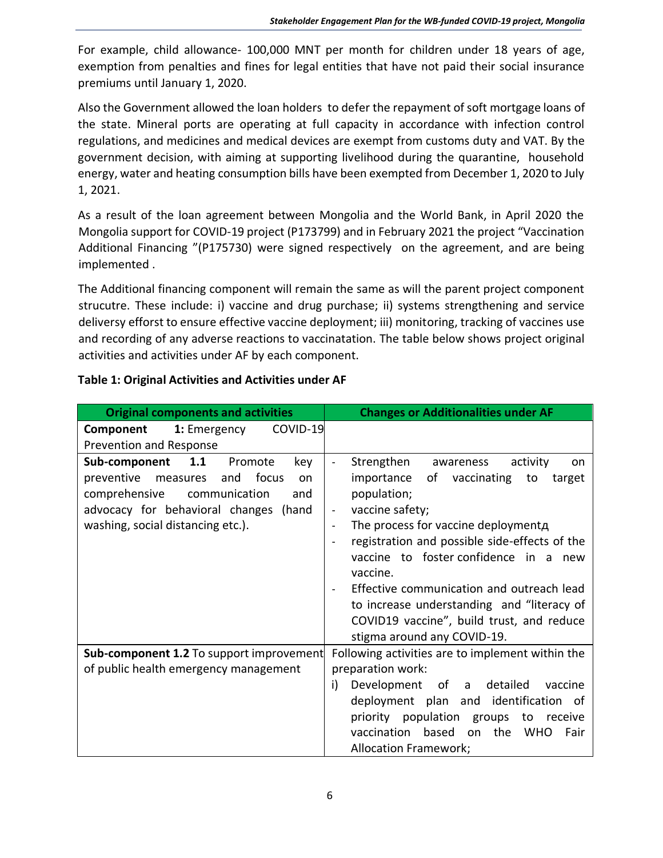For example, child allowance- 100,000 MNT per month for children under 18 years of age, exemption from penalties and fines for legal entities that have not paid their social insurance premiums until January 1, 2020.

Also the Government allowed the loan holders to defer the repayment of soft mortgage loans of the state. Mineral ports are operating at full capacity in accordance with infection control regulations, and medicines and medical devices are exempt from customs duty and VAT. By the government decision, with aiming at supporting livelihood during the quarantine, household energy, water and heating consumption bills have been exempted from December 1, 2020 to July 1, 2021.

As a result of the loan agreement between Mongolia and the World Bank, in April 2020 the Mongolia support for COVID-19 project (P173799) and in February 2021 the project "Vaccination Additional Financing "(P175730) were signed respectively on the agreement, and are being implemented .

The Additional financing component will remain the same as will the parent project component strucutre. These include: i) vaccine and drug purchase; ii) systems strengthening and service deliversy efforst to ensure effective vaccine deployment; iii) monitoring, tracking of vaccines use and recording of any adverse reactions to vaccinatation. The table below shows project original activities and activities under AF by each component.

| Table 1: Original Activities and Activities under AF |  |
|------------------------------------------------------|--|
|------------------------------------------------------|--|

| <b>Original components and activities</b>                                                                                                                                                                        | <b>Changes or Additionalities under AF</b>                                                                                                                                                                                                                                                                                                                                                                                                                                                                                       |
|------------------------------------------------------------------------------------------------------------------------------------------------------------------------------------------------------------------|----------------------------------------------------------------------------------------------------------------------------------------------------------------------------------------------------------------------------------------------------------------------------------------------------------------------------------------------------------------------------------------------------------------------------------------------------------------------------------------------------------------------------------|
| COVID-19<br>Component<br>1: Emergency<br>Prevention and Response                                                                                                                                                 |                                                                                                                                                                                                                                                                                                                                                                                                                                                                                                                                  |
| 1.1<br>Sub-component<br>Promote<br>key<br>preventive<br>and<br>focus<br>measures<br>on<br>comprehensive<br>communication<br>and<br>advocacy for behavioral changes<br>(hand<br>washing, social distancing etc.). | Strengthen<br>activity<br>awareness<br>on.<br>of<br>vaccinating<br>importance<br>to<br>target<br>population;<br>vaccine safety;<br>$\overline{\phantom{a}}$<br>The process for vaccine deploymenta<br>$\overline{\phantom{a}}$<br>registration and possible side-effects of the<br>$\blacksquare$<br>vaccine to foster confidence in a<br>new<br>vaccine.<br>Effective communication and outreach lead<br>to increase understanding and "literacy of<br>COVID19 vaccine", build trust, and reduce<br>stigma around any COVID-19. |
| Sub-component 1.2 To support improvement                                                                                                                                                                         | Following activities are to implement within the                                                                                                                                                                                                                                                                                                                                                                                                                                                                                 |
| of public health emergency management                                                                                                                                                                            | preparation work:<br>i)<br>Development of a<br>detailed<br>vaccine<br>deployment plan and identification<br>.of<br>priority population groups<br>to<br>receive                                                                                                                                                                                                                                                                                                                                                                   |
|                                                                                                                                                                                                                  | vaccination based<br>the WHO<br><sub>on</sub><br>Fair<br><b>Allocation Framework;</b>                                                                                                                                                                                                                                                                                                                                                                                                                                            |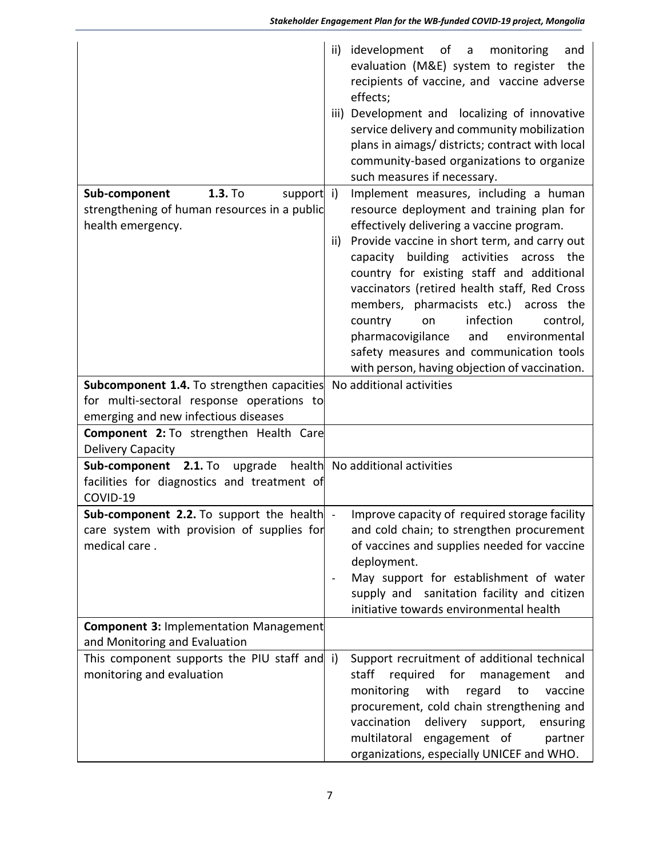|                                                                                        | idevelopment of a<br>ii)<br>monitoring<br>and<br>evaluation (M&E) system to register<br>the<br>recipients of vaccine, and vaccine adverse<br>effects;<br>Development and localizing of innovative<br>iii)<br>service delivery and community mobilization<br>plans in aimags/ districts; contract with local<br>community-based organizations to organize<br>such measures if necessary. |
|----------------------------------------------------------------------------------------|-----------------------------------------------------------------------------------------------------------------------------------------------------------------------------------------------------------------------------------------------------------------------------------------------------------------------------------------------------------------------------------------|
| 1.3. To<br>Sub-component<br>support                                                    | Implement measures, including a human<br>$\mathbf{i}$                                                                                                                                                                                                                                                                                                                                   |
| strengthening of human resources in a public<br>health emergency.                      | resource deployment and training plan for<br>effectively delivering a vaccine program.                                                                                                                                                                                                                                                                                                  |
|                                                                                        | Provide vaccine in short term, and carry out<br>ii)                                                                                                                                                                                                                                                                                                                                     |
|                                                                                        | capacity building activities across the                                                                                                                                                                                                                                                                                                                                                 |
|                                                                                        | country for existing staff and additional<br>vaccinators (retired health staff, Red Cross                                                                                                                                                                                                                                                                                               |
|                                                                                        | members, pharmacists etc.) across the                                                                                                                                                                                                                                                                                                                                                   |
|                                                                                        | infection<br>country<br>control,<br>on                                                                                                                                                                                                                                                                                                                                                  |
|                                                                                        | pharmacovigilance<br>and<br>environmental<br>safety measures and communication tools                                                                                                                                                                                                                                                                                                    |
|                                                                                        | with person, having objection of vaccination.                                                                                                                                                                                                                                                                                                                                           |
| <b>Subcomponent 1.4.</b> To strengthen capacities                                      | No additional activities                                                                                                                                                                                                                                                                                                                                                                |
| for multi-sectoral response operations to                                              |                                                                                                                                                                                                                                                                                                                                                                                         |
| emerging and new infectious diseases<br>Component 2: To strengthen Health Care         |                                                                                                                                                                                                                                                                                                                                                                                         |
| Delivery Capacity                                                                      |                                                                                                                                                                                                                                                                                                                                                                                         |
| Sub-component 2.1. To                                                                  | upgrade health No additional activities                                                                                                                                                                                                                                                                                                                                                 |
| facilities for diagnostics and treatment of                                            |                                                                                                                                                                                                                                                                                                                                                                                         |
| COVID-19                                                                               |                                                                                                                                                                                                                                                                                                                                                                                         |
| Sub-component 2.2. To support the health<br>care system with provision of supplies for | Improve capacity of required storage facility<br>$\sim$<br>and cold chain; to strengthen procurement                                                                                                                                                                                                                                                                                    |
| medical care.                                                                          | of vaccines and supplies needed for vaccine                                                                                                                                                                                                                                                                                                                                             |
|                                                                                        | deployment.                                                                                                                                                                                                                                                                                                                                                                             |
|                                                                                        | May support for establishment of water                                                                                                                                                                                                                                                                                                                                                  |
|                                                                                        | supply and sanitation facility and citizen                                                                                                                                                                                                                                                                                                                                              |
| <b>Component 3: Implementation Management</b>                                          | initiative towards environmental health                                                                                                                                                                                                                                                                                                                                                 |
| and Monitoring and Evaluation                                                          |                                                                                                                                                                                                                                                                                                                                                                                         |
| This component supports the PIU staff and i)                                           | Support recruitment of additional technical                                                                                                                                                                                                                                                                                                                                             |
| monitoring and evaluation                                                              | staff<br>required for<br>management<br>and                                                                                                                                                                                                                                                                                                                                              |
|                                                                                        | monitoring<br>with<br>regard<br>to<br>vaccine<br>procurement, cold chain strengthening and                                                                                                                                                                                                                                                                                              |
|                                                                                        | vaccination<br>delivery support,<br>ensuring                                                                                                                                                                                                                                                                                                                                            |
|                                                                                        | multilatoral engagement of<br>partner                                                                                                                                                                                                                                                                                                                                                   |
|                                                                                        | organizations, especially UNICEF and WHO.                                                                                                                                                                                                                                                                                                                                               |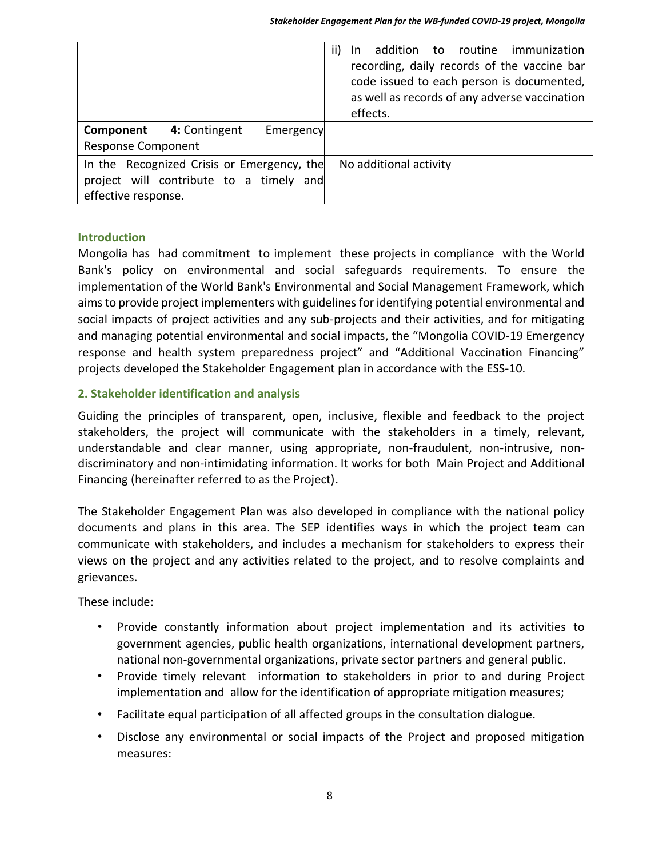|                                                                                                              | In addition to routine immunization<br>ii)<br>recording, daily records of the vaccine bar<br>code issued to each person is documented,<br>as well as records of any adverse vaccination<br>effects. |
|--------------------------------------------------------------------------------------------------------------|-----------------------------------------------------------------------------------------------------------------------------------------------------------------------------------------------------|
| <b>Component</b> 4: Contingent<br>Emergency<br><b>Response Component</b>                                     |                                                                                                                                                                                                     |
|                                                                                                              |                                                                                                                                                                                                     |
| In the Recognized Crisis or Emergency, the<br>project will contribute to a timely and<br>effective response. | No additional activity                                                                                                                                                                              |

#### **Introduction**

Mongolia has had commitment to implement these projects in compliance with the World Bank's policy on environmental and social safeguards requirements. To ensure the implementation of the World Bank's Environmental and Social Management Framework, which aims to provide project implementers with guidelines for identifying potential environmental and social impacts of project activities and any sub-projects and their activities, and for mitigating and managing potential environmental and social impacts, the "Mongolia COVID-19 Emergency response and health system preparedness project" and "Additional Vaccination Financing" projects developed the Stakeholder Engagement plan in accordance with the ESS-10.

### <span id="page-7-0"></span>**2. Stakeholder identification and analysis**

Guiding the principles of transparent, open, inclusive, flexible and feedback to the project stakeholders, the project will communicate with the stakeholders in a timely, relevant, understandable and clear manner, using appropriate, non-fraudulent, non-intrusive, nondiscriminatory and non-intimidating information. It works for both Main Project and Additional Financing (hereinafter referred to as the Project).

The Stakeholder Engagement Plan was also developed in compliance with the national policy documents and plans in this area. The SEP identifies ways in which the project team can communicate with stakeholders, and includes a mechanism for stakeholders to express their views on the project and any activities related to the project, and to resolve complaints and grievances.

These include:

- Provide constantly information about project implementation and its activities to government agencies, public health organizations, international development partners, national non-governmental organizations, private sector partners and general public.
- Provide timely relevant information to stakeholders in prior to and during Project implementation and allow for the identification of appropriate mitigation measures;
- Facilitate equal participation of all affected groups in the consultation dialogue.
- Disclose any environmental or social impacts of the Project and proposed mitigation measures: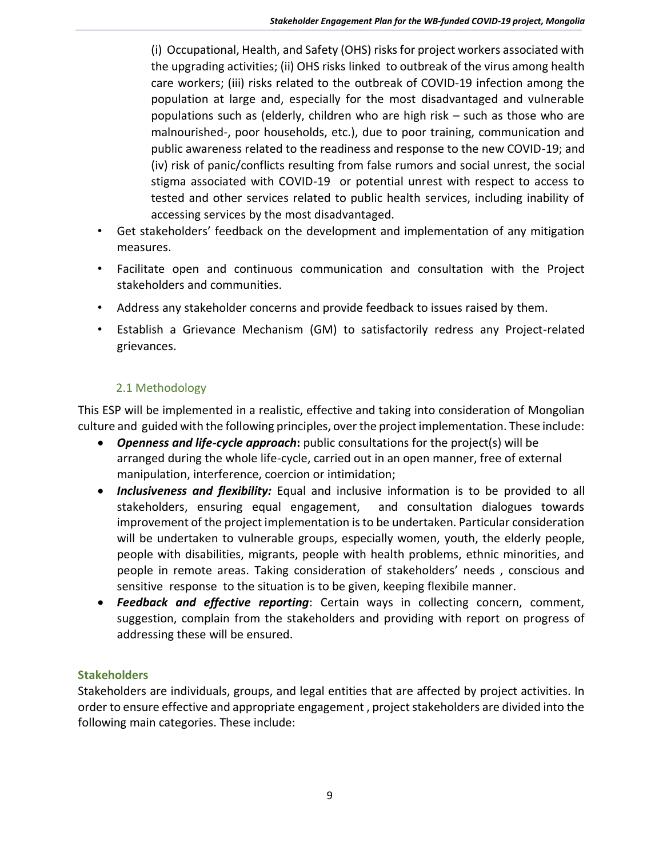(i) Occupational, Health, and Safety (OHS) risks for project workers associated with the upgrading activities; (ii) OHS risks linked to outbreak of the virus among health care workers; (iii) risks related to the outbreak of COVID-19 infection among the population at large and, especially for the most disadvantaged and vulnerable populations such as (elderly, children who are high risk – such as those who are malnourished-, poor households, etc.), due to poor training, communication and public awareness related to the readiness and response to the new COVID-19; and (iv) risk of panic/conflicts resulting from false rumors and social unrest, the social stigma associated with COVID-19 or potential unrest with respect to access to tested and other services related to public health services, including inability of accessing services by the most disadvantaged.

- Get stakeholders' feedback on the development and implementation of any mitigation measures.
- Facilitate open and continuous communication and consultation with the Project stakeholders and communities.
- Address any stakeholder concerns and provide feedback to issues raised by them.
- Establish a Grievance Mechanism (GM) to satisfactorily redress any Project-related grievances.

# 2.1 Methodology

<span id="page-8-0"></span>This ESP will be implemented in a realistic, effective and taking into consideration of Mongolian culture and guided with the following principles, over the project implementation. These include:

- *Openness and life-cycle approach***:** public consultations for the project(s) will be arranged during the whole life-cycle, carried out in an open manner, free of external manipulation, interference, coercion or intimidation;
- *Inclusiveness and flexibility:* Equal and inclusive information is to be provided to all stakeholders, ensuring equal engagement, and consultation dialogues towards improvement of the project implementation is to be undertaken. Particular consideration will be undertaken to vulnerable groups, especially women, youth, the elderly people, people with disabilities, migrants, people with health problems, ethnic minorities, and people in remote areas. Taking consideration of stakeholders' needs , conscious and sensitive response to the situation is to be given, keeping flexibile manner.
- *Feedback and effective reporting*: Certain ways in collecting concern, comment, suggestion, complain from the stakeholders and providing with report on progress of addressing these will be ensured.

# **Stakeholders**

Stakeholders are individuals, groups, and legal entities that are affected by project activities. In order to ensure effective and appropriate engagement , project stakeholders are divided into the following main categories. These include: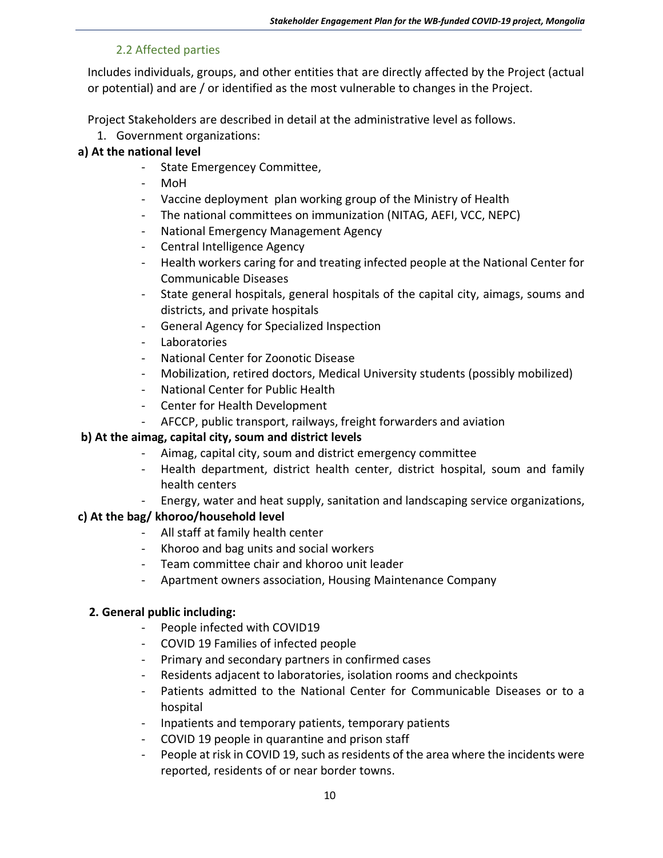## 2.2 Affected parties

<span id="page-9-0"></span>Includes individuals, groups, and other entities that are directly affected by the Project (actual or potential) and are / or identified as the most vulnerable to changes in the Project.

Project Stakeholders are described in detail at the administrative level as follows.

1. Government organizations:

## **a) At the national level**

- State Emergencey Committee,
- MoH
- Vaccine deployment plan working group of the Ministry of Health
- The national committees on immunization (NITAG, AEFI, VCC, NEPC)
- National Emergency Management Agency
- Central Intelligence Agency
- Health workers caring for and treating infected people at the National Center for Communicable Diseases
- State general hospitals, general hospitals of the capital city, aimags, soums and districts, and private hospitals
- General Agency for Specialized Inspection
- **Laboratories**
- National Center for Zoonotic Disease
- Mobilization, retired doctors, Medical University students (possibly mobilized)
- National Center for Public Health
- Center for Health Development
- AFCCP, public transport, railways, freight forwarders and aviation

# **b) At the aimag, capital city, soum and district levels**

- Aimag, capital city, soum and district emergency committee
- Health department, district health center, district hospital, soum and family health centers
- Energy, water and heat supply, sanitation and landscaping service organizations,

# **c) At the bag/ khoroo/household level**

- All staff at family health center
- Khoroo and bag units and social workers
- Team committee chair and khoroo unit leader
- Apartment owners association, Housing Maintenance Company

### **2. General public including:**

- People infected with COVID19
- COVID 19 Families of infected people
- Primary and secondary partners in confirmed cases
- Residents adjacent to laboratories, isolation rooms and checkpoints
- Patients admitted to the National Center for Communicable Diseases or to a hospital
- Inpatients and temporary patients, temporary patients
- COVID 19 people in quarantine and prison staff
- People at risk in COVID 19, such as residents of the area where the incidents were reported, residents of or near border towns.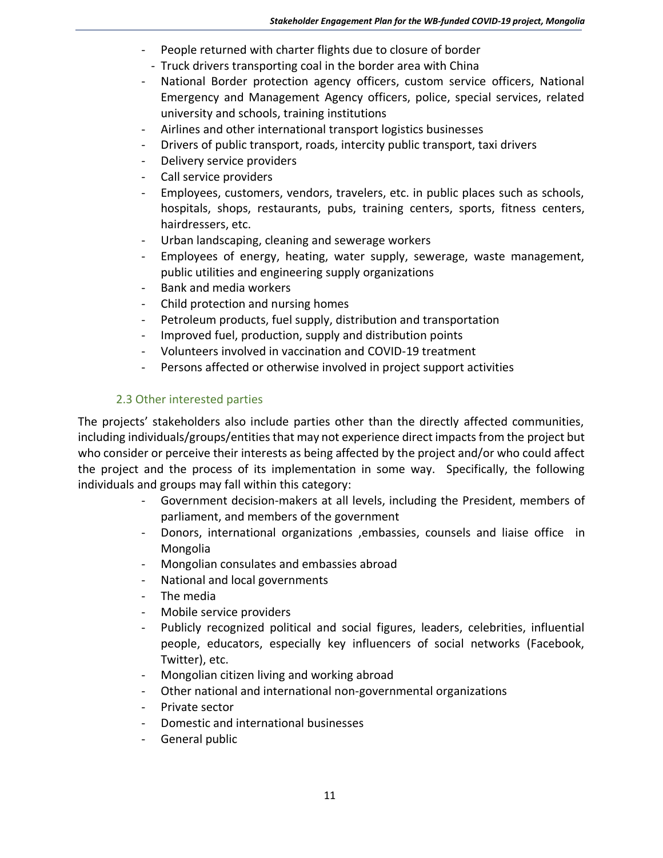- People returned with charter flights due to closure of border
- Truck drivers transporting coal in the border area with China
- National Border protection agency officers, custom service officers, National Emergency and Management Agency officers, police, special services, related university and schools, training institutions
- Airlines and other international transport logistics businesses
- Drivers of public transport, roads, intercity public transport, taxi drivers
- Delivery service providers
- Call service providers
- Employees, customers, vendors, travelers, etc. in public places such as schools, hospitals, shops, restaurants, pubs, training centers, sports, fitness centers, hairdressers, etc.
- Urban landscaping, cleaning and sewerage workers
- Employees of energy, heating, water supply, sewerage, waste management, public utilities and engineering supply organizations
- Bank and media workers
- Child protection and nursing homes
- Petroleum products, fuel supply, distribution and transportation
- Improved fuel, production, supply and distribution points
- Volunteers involved in vaccination and COVID-19 treatment
- Persons affected or otherwise involved in project support activities

### 2.3 Other interested parties

<span id="page-10-0"></span>The projects' stakeholders also include parties other than the directly affected communities, including individuals/groups/entities that may not experience direct impacts from the project but who consider or perceive their interests as being affected by the project and/or who could affect the project and the process of its implementation in some way. Specifically, the following individuals and groups may fall within this category:

- Government decision-makers at all levels, including the President, members of parliament, and members of the government
- Donors, international organizations ,embassies, counsels and liaise office in Mongolia
- Mongolian consulates and embassies abroad
- National and local governments
- The media
- Mobile service providers
- Publicly recognized political and social figures, leaders, celebrities, influential people, educators, especially key influencers of social networks (Facebook, Twitter), etc.
- Mongolian citizen living and working abroad
- Other national and international non-governmental organizations
- Private sector
- Domestic and international businesses
- General public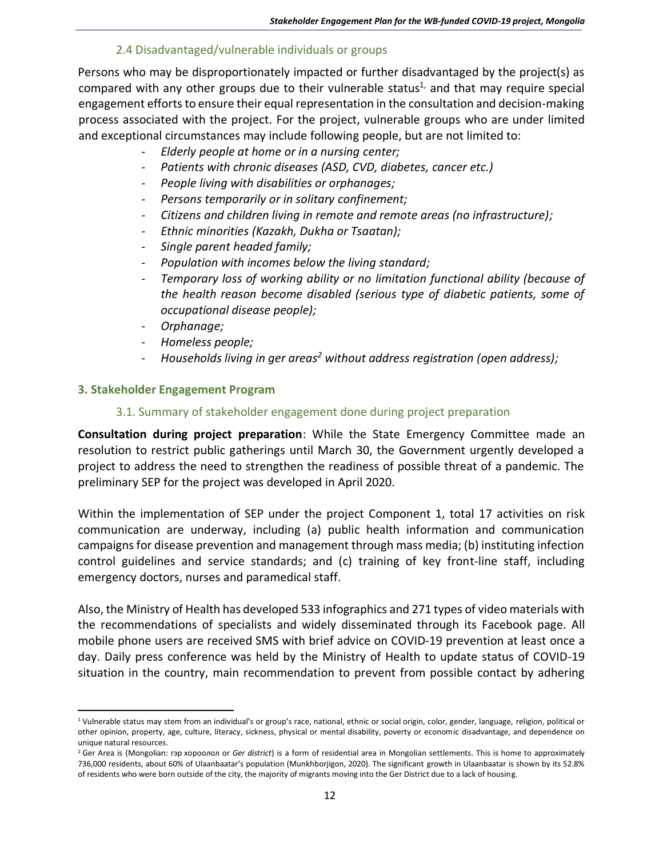### 2.4 Disadvantaged/vulnerable individuals or groups

<span id="page-11-0"></span>Persons who may be disproportionately impacted or further disadvantaged by the project(s) as compared with any other groups due to their vulnerable status<sup>1,</sup> and that may require special engagement efforts to ensure their equal representation in the consultation and decision-making process associated with the project. For the project, vulnerable groups who are under limited and exceptional circumstances may include following people, but are not limited to:

- *Elderly people at home or in a nursing center;*
- *Patients with chronic diseases (ASD, CVD, diabetes, cancer etc.)*
- *People living with disabilities or orphanages;*
- Persons temporarily or in solitary confinement;
- *Citizens and children living in remote and remote areas (no infrastructure);*
- *Ethnic minorities (Kazakh, Dukha or Tsaatan);*
- *Single parent headed family;*
- *Population with incomes below the living standard;*
- *Temporary loss of working ability or no limitation functional ability (because of the health reason become disabled (serious type of diabetic patients, some of occupational disease people);*
- *Orphanage;*
- *Homeless people;*
- *Households living in ger areas<sup>2</sup> without address registration (open address);*

#### <span id="page-11-2"></span><span id="page-11-1"></span>**3. Stakeholder Engagement Program**

#### 3.1. Summary of stakeholder engagement done during project preparation

**Consultation during project preparation**: While the State Emergency Committee made an resolution to restrict public gatherings until March 30, the Government urgently developed a project to address the need to strengthen the readiness of possible threat of a pandemic. The preliminary SEP for the project was developed in April 2020.

Within the implementation of SEP under the project Component 1, total 17 activities on risk communication are underway, including (a) public health information and communication campaigns for disease prevention and management through mass media; (b) instituting infection control guidelines and service standards; and (c) training of key front-line staff, including emergency doctors, nurses and paramedical staff.

Also, the Ministry of Health has developed 533 infographics and 271 types of video materials with the recommendations of specialists and widely disseminated through its Facebook page. All mobile phone users are received SMS with brief advice on COVID-19 prevention at least once a day. Daily press conference was held by the Ministry of Health to update status of COVID-19 situation in the country, main recommendation to prevent from possible contact by adhering

<sup>1</sup> Vulnerable status may stem from an individual's or group's race, national, ethnic or social origin, color, gender, language, religion, political or other opinion, property, age, culture, literacy, sickness, physical or mental disability, poverty or economic disadvantage, and dependence on unique natural resources.

<sup>2</sup> Ger Area is (Mongolian: гэр хороолол or *Ger district*) is a form of residential area in Mongolian settlements. This is home to approximately 736,000 residents, about 60% of Ulaanbaatar's population (Munkhborjigon, 2020). The significant growth in Ulaanbaatar is shown by its 52.8% of residents who were born outside of the city, the majority of migrants moving into the Ger District due to a lack of housing.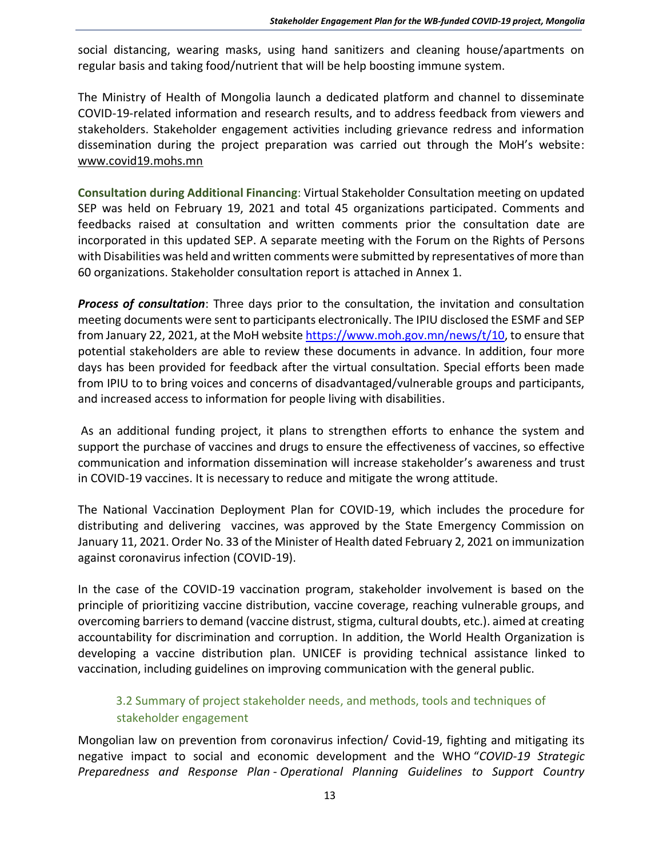social distancing, wearing masks, using hand sanitizers and cleaning house/apartments on regular basis and taking food/nutrient that will be help boosting immune system.

The Ministry of Health of Mongolia launch a dedicated platform and channel to disseminate COVID-19-related information and research results, and to address feedback from viewers and stakeholders. Stakeholder engagement activities including grievance redress and information dissemination during the project preparation was carried out through the MoH's website: [www.covid19.mohs.mn](http://www.covid19.mohs.mn/)

**Consultation during Additional Financing**: Virtual Stakeholder Consultation meeting on updated SEP was held on February 19, 2021 and total 45 organizations participated. Comments and feedbacks raised at consultation and written comments prior the consultation date are incorporated in this updated SEP. A separate meeting with the Forum on the Rights of Persons with Disabilities was held and written comments were submitted by representatives of more than 60 organizations. Stakeholder consultation report is attached in Annex 1.

*Process of consultation*: Three days prior to the consultation, the invitation and consultation meeting documents were sent to participants electronically. The IPIU disclosed the ESMF and SEP from January 22, 2021, at the MoH website [https://www.moh.gov.mn/news/t/10,](https://www.moh.gov.mn/news/t/10) to ensure that potential stakeholders are able to review these documents in advance. In addition, four more days has been provided for feedback after the virtual consultation. Special efforts been made from IPIU to to bring voices and concerns of disadvantaged/vulnerable groups and participants, and increased access to information for people living with disabilities.

As an additional funding project, it plans to strengthen efforts to enhance the system and support the purchase of vaccines and drugs to ensure the effectiveness of vaccines, so effective communication and information dissemination will increase stakeholder's awareness and trust in COVID-19 vaccines. It is necessary to reduce and mitigate the wrong attitude.

The National Vaccination Deployment Plan for COVID-19, which includes the procedure for distributing and delivering vaccines, was approved by the State Emergency Commission on January 11, 2021. Order No. 33 of the Minister of Health dated February 2, 2021 on immunization against coronavirus infection (COVID-19).

In the case of the COVID-19 vaccination program, stakeholder involvement is based on the principle of prioritizing vaccine distribution, vaccine coverage, reaching vulnerable groups, and overcoming barriers to demand (vaccine distrust, stigma, cultural doubts, etc.). aimed at creating accountability for discrimination and corruption. In addition, the World Health Organization is developing a vaccine distribution plan. UNICEF is providing technical assistance linked to vaccination, including guidelines on improving communication with the general public.

# <span id="page-12-0"></span>3.2 Summary of project stakeholder needs, and methods, tools and techniques of stakeholder engagement

Mongolian law on prevention from coronavirus infection/ Covid-19, fighting and mitigating its negative impact to social and economic development and the WHO "*COVID-19 Strategic Preparedness and Response Plan* - *Operational Planning Guidelines to Support Country*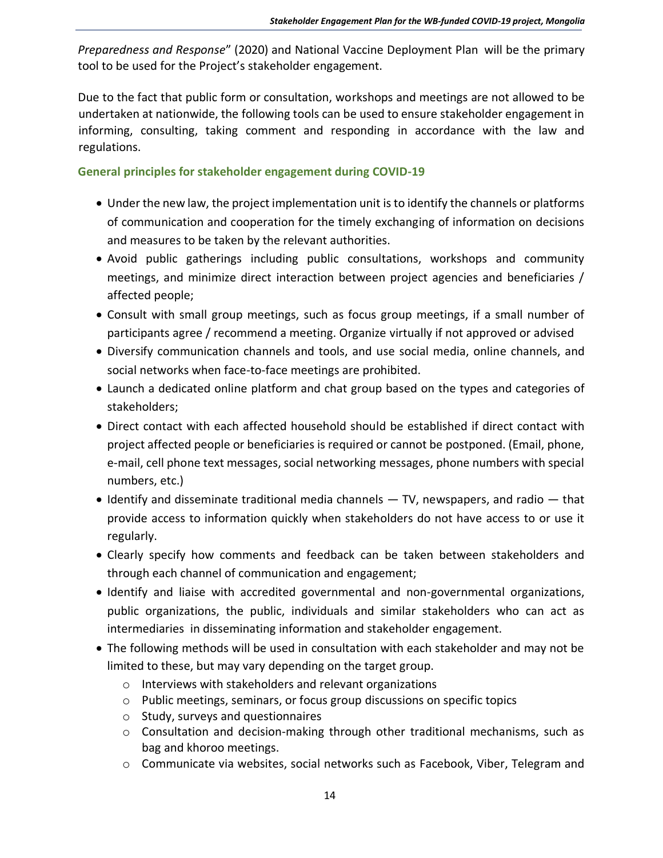*Preparedness and Response*" (2020) and National Vaccine Deployment Plan will be the primary tool to be used for the Project's stakeholder engagement.

Due to the fact that public form or consultation, workshops and meetings are not allowed to be undertaken at nationwide, the following tools can be used to ensure stakeholder engagement in informing, consulting, taking comment and responding in accordance with the law and regulations.

#### **General principles for stakeholder engagement during COVID-19**

- Under the new law, the project implementation unit is to identify the channels or platforms of communication and cooperation for the timely exchanging of information on decisions and measures to be taken by the relevant authorities.
- Avoid public gatherings including public consultations, workshops and community meetings, and minimize direct interaction between project agencies and beneficiaries / affected people;
- Consult with small group meetings, such as focus group meetings, if a small number of participants agree / recommend a meeting. Organize virtually if not approved or advised
- Diversify communication channels and tools, and use social media, online channels, and social networks when face-to-face meetings are prohibited.
- Launch a dedicated online platform and chat group based on the types and categories of stakeholders;
- Direct contact with each affected household should be established if direct contact with project affected people or beneficiaries is required or cannot be postponed. (Email, phone, e-mail, cell phone text messages, social networking messages, phone numbers with special numbers, etc.)
- Identify and disseminate traditional media channels  $-$  TV, newspapers, and radio  $-$  that provide access to information quickly when stakeholders do not have access to or use it regularly.
- Clearly specify how comments and feedback can be taken between stakeholders and through each channel of communication and engagement;
- Identify and liaise with accredited governmental and non-governmental organizations, public organizations, the public, individuals and similar stakeholders who can act as intermediaries in disseminating information and stakeholder engagement.
- The following methods will be used in consultation with each stakeholder and may not be limited to these, but may vary depending on the target group.
	- o Interviews with stakeholders and relevant organizations
	- o Public meetings, seminars, or focus group discussions on specific topics
	- o Study, surveys and questionnaires
	- $\circ$  Consultation and decision-making through other traditional mechanisms, such as bag and khoroo meetings.
	- o Communicate via websites, social networks such as Facebook, Viber, Telegram and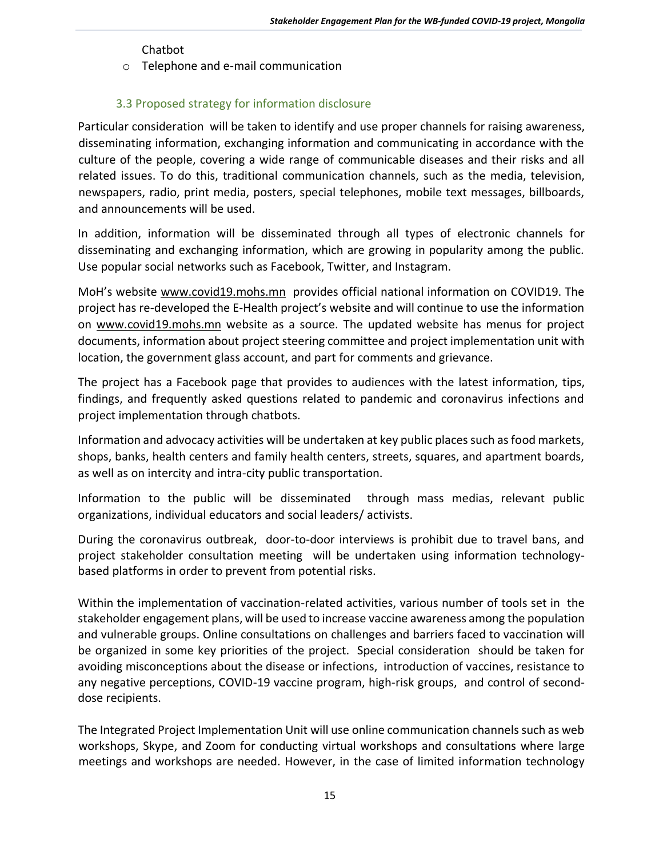Chatbot

o Telephone and e-mail communication

# 3.3 Proposed strategy for information disclosure

<span id="page-14-0"></span>Particular consideration will be taken to identify and use proper channels for raising awareness, disseminating information, exchanging information and communicating in accordance with the culture of the people, covering a wide range of communicable diseases and their risks and all related issues. To do this, traditional communication channels, such as the media, television, newspapers, radio, print media, posters, special telephones, mobile text messages, billboards, and announcements will be used.

In addition, information will be disseminated through all types of electronic channels for disseminating and exchanging information, which are growing in popularity among the public. Use popular social networks such as Facebook, Twitter, and Instagram.

MoH's website [www.covid19.mohs.mn](http://www.covid19.mohs.mn/) provides official national information on COVID19. The project has re-developed the E-Health project's website and will continue to use the information on [www.covid19.mohs.mn](http://www.covid19.mohs.mn/) website as a source. The updated website has menus for project documents, information about project steering committee and project implementation unit with location, the government glass account, and part for comments and grievance.

The project has a Facebook page that provides to audiences with the latest information, tips, findings, and frequently asked questions related to pandemic and coronavirus infections and project implementation through chatbots.

Information and advocacy activities will be undertaken at key public places such as food markets, shops, banks, health centers and family health centers, streets, squares, and apartment boards, as well as on intercity and intra-city public transportation.

Information to the public will be disseminated through mass medias, relevant public organizations, individual educators and social leaders/ activists.

During the coronavirus outbreak, door-to-door interviews is prohibit due to travel bans, and project stakeholder consultation meeting will be undertaken using information technologybased platforms in order to prevent from potential risks.

Within the implementation of vaccination-related activities, various number of tools set in the stakeholder engagement plans, will be used to increase vaccine awareness among the population and vulnerable groups. Online consultations on challenges and barriers faced to vaccination will be organized in some key priorities of the project. Special consideration should be taken for avoiding misconceptions about the disease or infections, introduction of vaccines, resistance to any negative perceptions, COVID-19 vaccine program, high-risk groups, and control of seconddose recipients.

The Integrated Project Implementation Unit will use online communication channels such as web workshops, Skype, and Zoom for conducting virtual workshops and consultations where large meetings and workshops are needed. However, in the case of limited information technology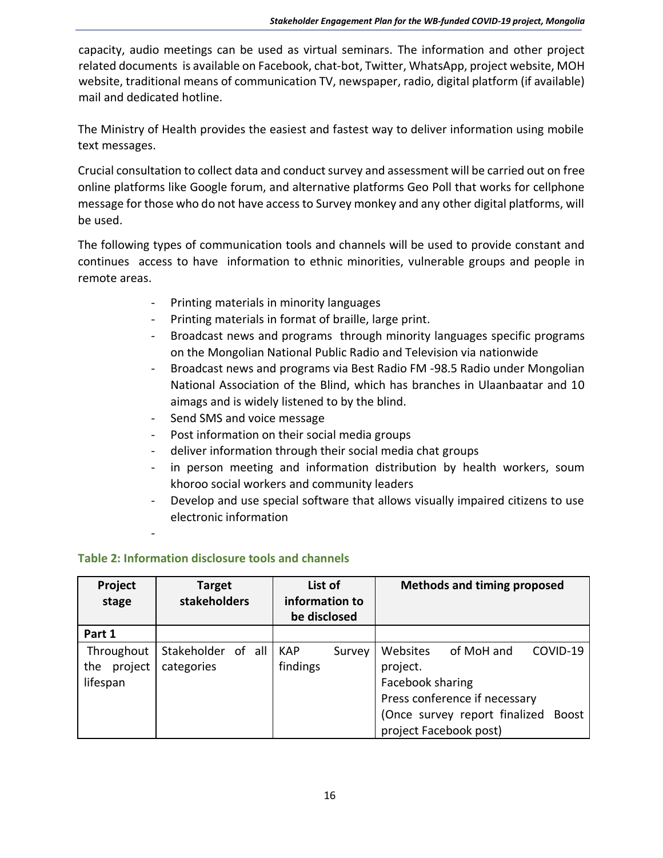capacity, audio meetings can be used as virtual seminars. The information and other project related documents is available on Facebook, chat-bot, Twitter, WhatsApp, project website, MOH website, traditional means of communication TV, newspaper, radio, digital platform (if available) mail and dedicated hotline.

The Ministry of Health provides the easiest and fastest way to deliver information using mobile text messages.

Crucial consultation to collect data and conduct survey and assessment will be carried out on free online platforms like Google forum, and alternative platforms Geo Poll that works for cellphone message for those who do not have access to Survey monkey and any other digital platforms, will be used.

The following types of communication tools and channels will be used to provide constant and continues access to have information to ethnic minorities, vulnerable groups and people in remote areas.

- Printing materials in minority languages
- Printing materials in format of braille, large print.
- Broadcast news and programs through minority languages specific programs on the Mongolian National Public Radio and Television via nationwide
- Broadcast news and programs via Best Radio FM -98.5 Radio under Mongolian National Association of the Blind, which has branches in Ulaanbaatar and 10 aimags and is widely listened to by the blind.
- Send SMS and voice message
- Post information on their social media groups
- deliver information through their social media chat groups
- in person meeting and information distribution by health workers, soum khoroo social workers and community leaders
- Develop and use special software that allows visually impaired citizens to use electronic information

-

# **Table 2: Information disclosure tools and channels**

| Project<br>stage                         | <b>Target</b><br><b>stakeholders</b> |  | List of<br>information to<br>be disclosed |        |                                          | <b>Methods and timing proposed</b>                                                                     |                          |
|------------------------------------------|--------------------------------------|--|-------------------------------------------|--------|------------------------------------------|--------------------------------------------------------------------------------------------------------|--------------------------|
| Part 1                                   |                                      |  |                                           |        |                                          |                                                                                                        |                          |
| Throughout<br>project<br>the<br>lifespan | Stakeholder of all<br>categories     |  | <b>KAP</b><br>findings                    | Survey | Websites<br>project.<br>Facebook sharing | of MoH and<br>Press conference if necessary<br>(Once survey report finalized<br>project Facebook post) | COVID-19<br><b>Boost</b> |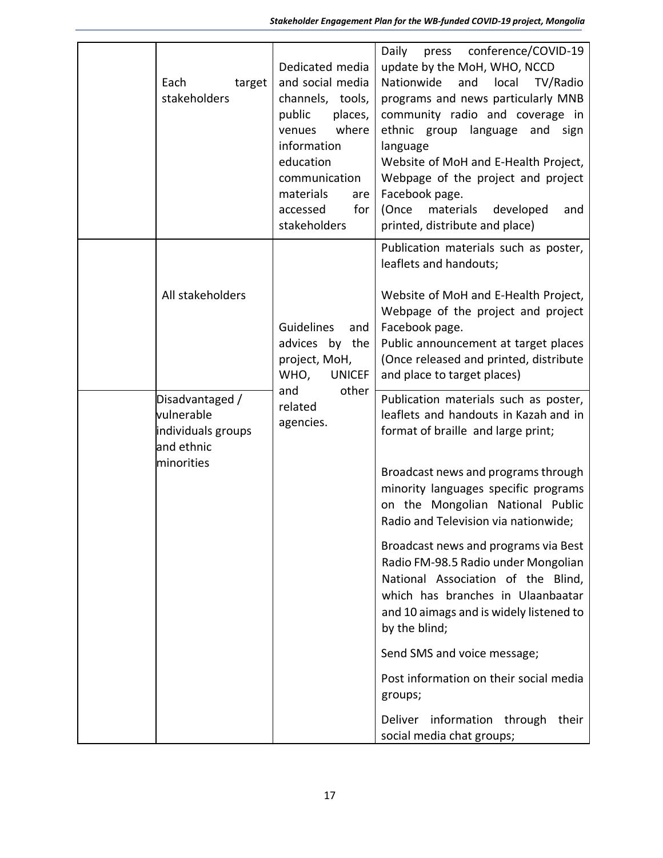| Each<br>target<br>stakeholders                                                  | Dedicated media<br>and social media<br>channels, tools,<br>public<br>places,<br>where<br>venues<br>information<br>education<br>communication<br>materials<br>are<br>for<br>accessed<br>stakeholders | press conference/COVID-19<br>Daily<br>update by the MoH, WHO, NCCD<br>Nationwide<br>and<br>local<br>TV/Radio<br>programs and news particularly MNB<br>community radio and coverage in<br>ethnic group language and sign<br>language<br>Website of MoH and E-Health Project,<br>Webpage of the project and project<br>Facebook page.<br>(Once<br>materials<br>developed<br>and<br>printed, distribute and place)                                                                                                                                                                                                                                                |
|---------------------------------------------------------------------------------|-----------------------------------------------------------------------------------------------------------------------------------------------------------------------------------------------------|----------------------------------------------------------------------------------------------------------------------------------------------------------------------------------------------------------------------------------------------------------------------------------------------------------------------------------------------------------------------------------------------------------------------------------------------------------------------------------------------------------------------------------------------------------------------------------------------------------------------------------------------------------------|
| All stakeholders                                                                | <b>Guidelines</b><br>and<br>advices by the<br>project, MoH,<br>WHO,<br><b>UNICEF</b>                                                                                                                | Publication materials such as poster,<br>leaflets and handouts;<br>Website of MoH and E-Health Project,<br>Webpage of the project and project<br>Facebook page.<br>Public announcement at target places<br>(Once released and printed, distribute<br>and place to target places)                                                                                                                                                                                                                                                                                                                                                                               |
| Disadvantaged /<br>vulnerable<br>individuals groups<br>and ethnic<br>minorities | other<br>and<br>related<br>agencies.                                                                                                                                                                | Publication materials such as poster,<br>leaflets and handouts in Kazah and in<br>format of braille and large print;<br>Broadcast news and programs through<br>minority languages specific programs<br>on the Mongolian National Public<br>Radio and Television via nationwide;<br>Broadcast news and programs via Best<br>Radio FM-98.5 Radio under Mongolian<br>National Association of the Blind,<br>which has branches in Ulaanbaatar<br>and 10 aimags and is widely listened to<br>by the blind;<br>Send SMS and voice message;<br>Post information on their social media<br>groups;<br>Deliver information through<br>their<br>social media chat groups; |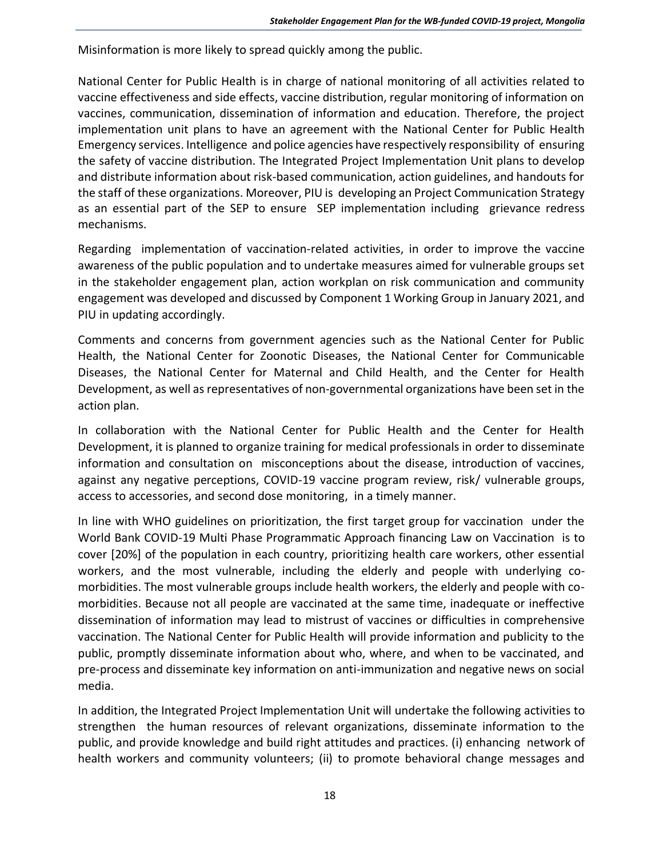Misinformation is more likely to spread quickly among the public.

National Center for Public Health is in charge of national monitoring of all activities related to vaccine effectiveness and side effects, vaccine distribution, regular monitoring of information on vaccines, communication, dissemination of information and education. Therefore, the project implementation unit plans to have an agreement with the National Center for Public Health Emergency services. Intelligence and police agencies have respectively responsibility of ensuring the safety of vaccine distribution. The Integrated Project Implementation Unit plans to develop and distribute information about risk-based communication, action guidelines, and handouts for the staff of these organizations. Moreover, PIU is developing an Project Communication Strategy as an essential part of the SEP to ensure SEP implementation including grievance redress mechanisms.

Regarding implementation of vaccination-related activities, in order to improve the vaccine awareness of the public population and to undertake measures aimed for vulnerable groups set in the stakeholder engagement plan, action workplan on risk communication and community engagement was developed and discussed by Component 1 Working Group in January 2021, and PIU in updating accordingly.

Comments and concerns from government agencies such as the National Center for Public Health, the National Center for Zoonotic Diseases, the National Center for Communicable Diseases, the National Center for Maternal and Child Health, and the Center for Health Development, as well as representatives of non-governmental organizations have been set in the action plan.

In collaboration with the National Center for Public Health and the Center for Health Development, it is planned to organize training for medical professionals in order to disseminate information and consultation on misconceptions about the disease, introduction of vaccines, against any negative perceptions, COVID-19 vaccine program review, risk/ vulnerable groups, access to accessories, and second dose monitoring, in a timely manner.

In line with WHO guidelines on prioritization, the first target group for vaccination under the World Bank COVID-19 Multi Phase Programmatic Approach financing Law on Vaccination is to cover [20%] of the population in each country, prioritizing health care workers, other essential workers, and the most vulnerable, including the elderly and people with underlying comorbidities. The most vulnerable groups include health workers, the elderly and people with comorbidities. Because not all people are vaccinated at the same time, inadequate or ineffective dissemination of information may lead to mistrust of vaccines or difficulties in comprehensive vaccination. The National Center for Public Health will provide information and publicity to the public, promptly disseminate information about who, where, and when to be vaccinated, and pre-process and disseminate key information on anti-immunization and negative news on social media.

In addition, the Integrated Project Implementation Unit will undertake the following activities to strengthen the human resources of relevant organizations, disseminate information to the public, and provide knowledge and build right attitudes and practices. (i) enhancing network of health workers and community volunteers; (ii) to promote behavioral change messages and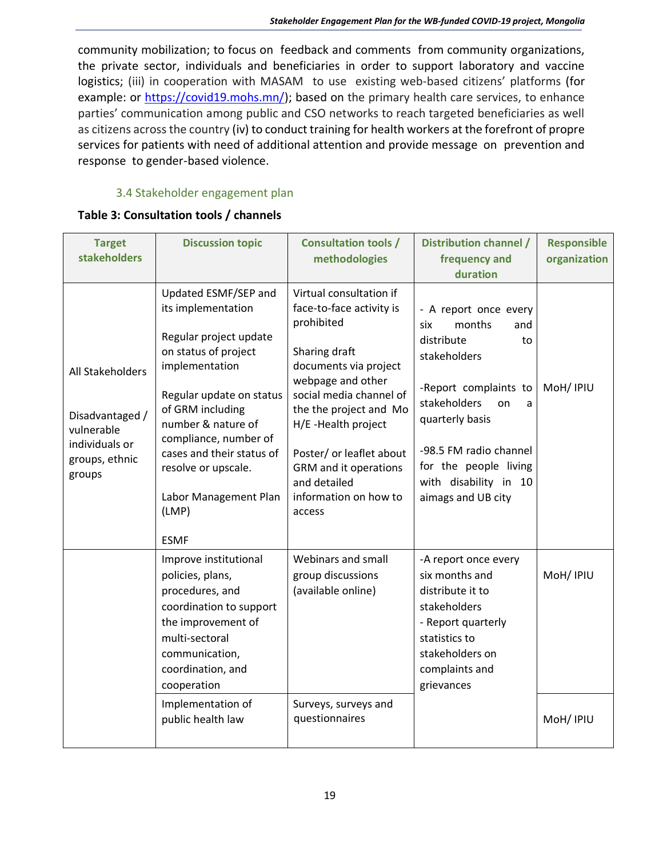community mobilization; to focus on feedback and comments from community organizations, the private sector, individuals and beneficiaries in order to support laboratory and vaccine logistics; (iii) in cooperation with MASAM to use existing web-based citizens' platforms (for example: or [https://covid19.mohs.mn/\)](https://covid19.mohs.mn/); based on the primary health care services, to enhance parties' communication among public and CSO networks to reach targeted beneficiaries as well as citizens across the country (iv) to conduct training for health workers at the forefront of propre services for patients with need of additional attention and provide message on prevention and response to gender-based violence.

# 3.4 Stakeholder engagement plan

#### <span id="page-18-0"></span>**Table 3: Consultation tools / channels**

| <b>Target</b><br><b>stakeholders</b>                                                            | <b>Discussion topic</b>                                                                                                                                                                                                                                                                                            | <b>Consultation tools /</b><br>methodologies                                                                                                                                                                                                                                                                         | <b>Distribution channel /</b><br>frequency and<br>duration                                                                                                                                                                                                 | <b>Responsible</b><br>organization |
|-------------------------------------------------------------------------------------------------|--------------------------------------------------------------------------------------------------------------------------------------------------------------------------------------------------------------------------------------------------------------------------------------------------------------------|----------------------------------------------------------------------------------------------------------------------------------------------------------------------------------------------------------------------------------------------------------------------------------------------------------------------|------------------------------------------------------------------------------------------------------------------------------------------------------------------------------------------------------------------------------------------------------------|------------------------------------|
| All Stakeholders<br>Disadvantaged /<br>vulnerable<br>individuals or<br>groups, ethnic<br>groups | Updated ESMF/SEP and<br>its implementation<br>Regular project update<br>on status of project<br>implementation<br>Regular update on status<br>of GRM including<br>number & nature of<br>compliance, number of<br>cases and their status of<br>resolve or upscale.<br>Labor Management Plan<br>(LMP)<br><b>ESMF</b> | Virtual consultation if<br>face-to-face activity is<br>prohibited<br>Sharing draft<br>documents via project<br>webpage and other<br>social media channel of<br>the the project and Mo<br>H/E -Health project<br>Poster/ or leaflet about<br>GRM and it operations<br>and detailed<br>information on how to<br>access | - A report once every<br>months<br>six<br>and<br>distribute<br>to<br>stakeholders<br>-Report complaints to<br>stakeholders<br>on<br>a<br>quarterly basis<br>-98.5 FM radio channel<br>for the people living<br>with disability in 10<br>aimags and UB city | MoH/ IPIU                          |
|                                                                                                 | Improve institutional<br>policies, plans,<br>procedures, and<br>coordination to support<br>the improvement of<br>multi-sectoral<br>communication,<br>coordination, and<br>cooperation<br>Implementation of<br>public health law                                                                                    | Webinars and small<br>group discussions<br>(available online)<br>Surveys, surveys and<br>questionnaires                                                                                                                                                                                                              | -A report once every<br>six months and<br>distribute it to<br>stakeholders<br>- Report quarterly<br>statistics to<br>stakeholders on<br>complaints and<br>grievances                                                                                       | MoH/ IPIU<br>MoH/ IPIU             |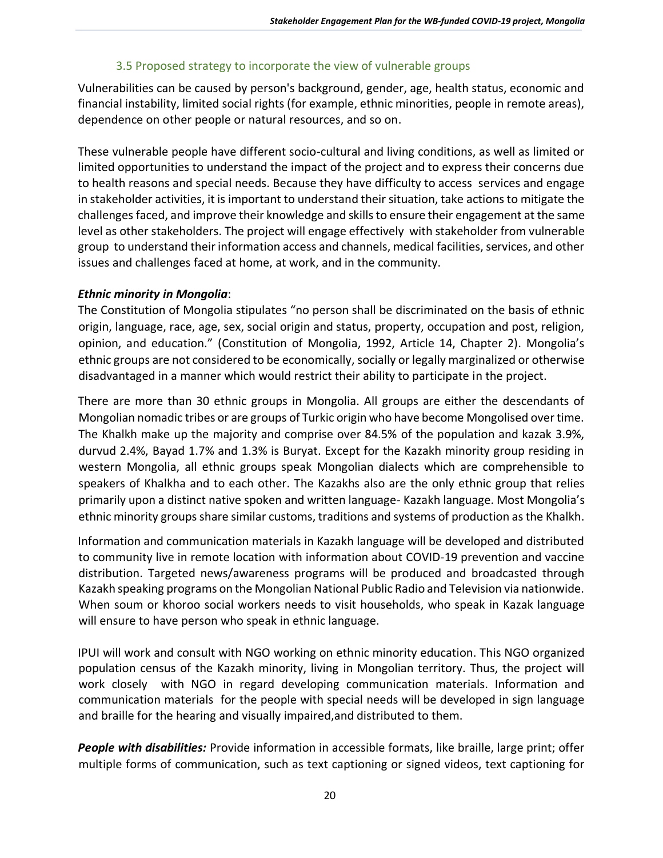#### 3.5 Proposed strategy to incorporate the view of vulnerable groups

<span id="page-19-0"></span>Vulnerabilities can be caused by person's background, gender, age, health status, economic and financial instability, limited social rights (for example, ethnic minorities, people in remote areas), dependence on other people or natural resources, and so on.

These vulnerable people have different socio-cultural and living conditions, as well as limited or limited opportunities to understand the impact of the project and to express their concerns due to health reasons and special needs. Because they have difficulty to access services and engage in stakeholder activities, it is important to understand their situation, take actions to mitigate the challenges faced, and improve their knowledge and skills to ensure their engagement at the same level as other stakeholders. The project will engage effectively with stakeholder from vulnerable group to understand their information access and channels, medical facilities, services, and other issues and challenges faced at home, at work, and in the community.

#### *Ethnic minority in Mongolia*:

The Constitution of Mongolia stipulates "no person shall be discriminated on the basis of ethnic origin, language, race, age, sex, social origin and status, property, occupation and post, religion, opinion, and education." (Constitution of Mongolia, 1992, Article 14, Chapter 2). Mongolia's ethnic groups are not considered to be economically, socially or legally marginalized or otherwise disadvantaged in a manner which would restrict their ability to participate in the project.

There are more than 30 ethnic groups in Mongolia. All groups are either the descendants of Mongolian nomadic tribes or are groups of Turkic origin who have become Mongolised over time. The Khalkh make up the majority and comprise over 84.5% of the population and kazak 3.9%, durvud 2.4%, Bayad 1.7% and 1.3% is Buryat. Except for the Kazakh minority group residing in western Mongolia, all ethnic groups speak Mongolian dialects which are comprehensible to speakers of Khalkha and to each other. The Kazakhs also are the only ethnic group that relies primarily upon a distinct native spoken and written language- Kazakh language. Most Mongolia's ethnic minority groups share similar customs, traditions and systems of production as the Khalkh.

Information and communication materials in Kazakh language will be developed and distributed to community live in remote location with information about COVID-19 prevention and vaccine distribution. Targeted news/awareness programs will be produced and broadcasted through Kazakh speaking programs on the Mongolian National Public Radio and Television via nationwide. When soum or khoroo social workers needs to visit households, who speak in Kazak language will ensure to have person who speak in ethnic language.

IPUI will work and consult with NGO working on ethnic minority education. This NGO organized population census of the Kazakh minority, living in Mongolian territory. Thus, the project will work closely with NGO in regard developing communication materials. Information and communication materials for the people with special needs will be developed in sign language and braille for the hearing and visually impaired,and distributed to them.

*People with disabilities:* Provide information in accessible formats, like braille, large print; offer multiple forms of communication, such as text captioning or signed videos, text captioning for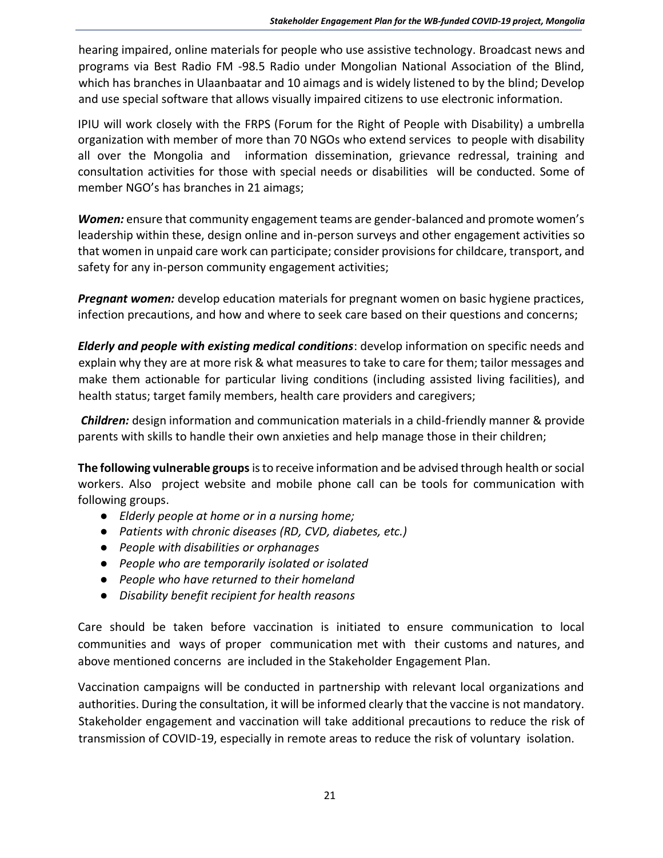hearing impaired, online materials for people who use assistive technology. Broadcast news and programs via Best Radio FM -98.5 Radio under Mongolian National Association of the Blind, which has branches in Ulaanbaatar and 10 aimags and is widely listened to by the blind; Develop and use special software that allows visually impaired citizens to use electronic information.

IPIU will work closely with the FRPS (Forum for the Right of People with Disability) a umbrella organization with member of more than 70 NGOs who extend services to people with disability all over the Mongolia and information dissemination, grievance redressal, training and consultation activities for those with special needs or disabilities will be conducted. Some of member NGO's has branches in 21 aimags;

*Women:* ensure that community engagement teams are gender-balanced and promote women's leadership within these, design online and in-person surveys and other engagement activities so that women in unpaid care work can participate; consider provisions for childcare, transport, and safety for any in-person community engagement activities;

*Pregnant women:* develop education materials for pregnant women on basic hygiene practices, infection precautions, and how and where to seek care based on their questions and concerns;

*Elderly and people with existing medical conditions*: develop information on specific needs and explain why they are at more risk & what measures to take to care for them; tailor messages and make them actionable for particular living conditions (including assisted living facilities), and health status; target family members, health care providers and caregivers;

*Children:* design information and communication materials in a child-friendly manner & provide parents with skills to handle their own anxieties and help manage those in their children;

**The following vulnerable groups**is to receive information and be advised through health or social workers. Also project website and mobile phone call can be tools for communication with following groups.

- *Elderly people at home or in a nursing home;*
- *Patients with chronic diseases (RD, CVD, diabetes, etc.)*
- *People with disabilities or orphanages*
- *People who are temporarily isolated or isolated*
- *People who have returned to their homeland*
- *Disability benefit recipient for health reasons*

Care should be taken before vaccination is initiated to ensure communication to local communities and ways of proper communication met with their customs and natures, and above mentioned concerns are included in the Stakeholder Engagement Plan.

Vaccination campaigns will be conducted in partnership with relevant local organizations and authorities. During the consultation, it will be informed clearly that the vaccine is not mandatory. Stakeholder engagement and vaccination will take additional precautions to reduce the risk of transmission of COVID-19, especially in remote areas to reduce the risk of voluntary isolation.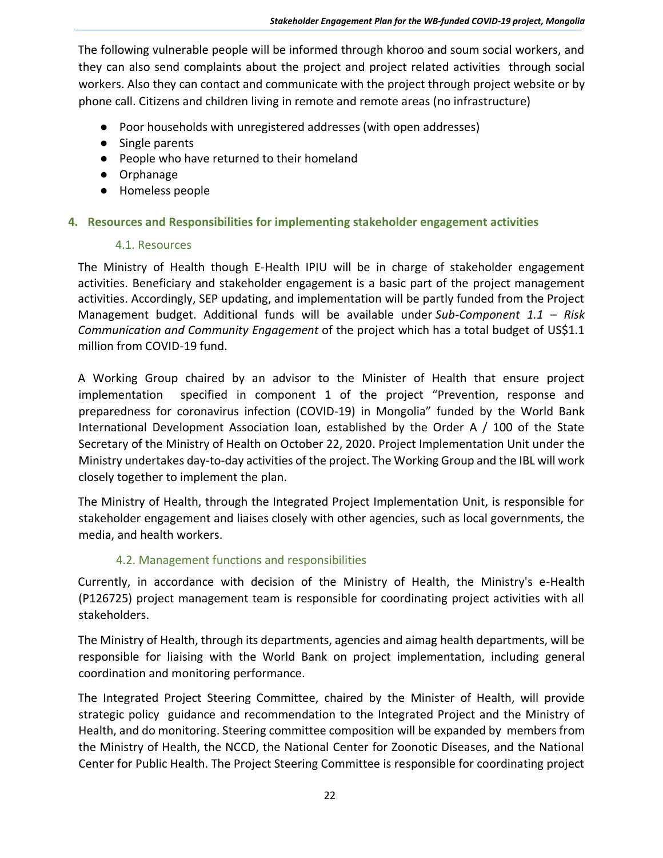The following vulnerable people will be informed through khoroo and soum social workers, and they can also send complaints about the project and project related activities through social workers. Also they can contact and communicate with the project through project website or by phone call. Citizens and children living in remote and remote areas (no infrastructure)

- Poor households with unregistered addresses (with open addresses)
- Single parents
- People who have returned to their homeland
- Orphanage
- Homeless people

### <span id="page-21-1"></span><span id="page-21-0"></span>**4. Resources and Responsibilities for implementing stakeholder engagement activities**

#### 4.1. Resources

The Ministry of Health though E-Health IPIU will be in charge of stakeholder engagement activities. Beneficiary and stakeholder engagement is a basic part of the project management activities. Accordingly, SEP updating, and implementation will be partly funded from the Project Management budget. Additional funds will be available under *Sub-Component 1.1 – Risk Communication and Community Engagement* of the project which has a total budget of US\$1.1 million from COVID-19 fund.

A Working Group chaired by an advisor to the Minister of Health that ensure project implementation specified in component 1 of the project "Prevention, response and preparedness for coronavirus infection (COVID-19) in Mongolia" funded by the World Bank International Development Association loan, established by the Order A / 100 of the State Secretary of the Ministry of Health on October 22, 2020. Project Implementation Unit under the Ministry undertakes day-to-day activities of the project. The Working Group and the IBL will work closely together to implement the plan.

The Ministry of Health, through the Integrated Project Implementation Unit, is responsible for stakeholder engagement and liaises closely with other agencies, such as local governments, the media, and health workers.

### 4.2. Management functions and responsibilities

<span id="page-21-2"></span>Currently, in accordance with decision of the Ministry of Health, the Ministry's e-Health (P126725) project management team is responsible for coordinating project activities with all stakeholders.

The Ministry of Health, through its departments, agencies and aimag health departments, will be responsible for liaising with the World Bank on project implementation, including general coordination and monitoring performance.

The Integrated Project Steering Committee, chaired by the Minister of Health, will provide strategic policy guidance and recommendation to the Integrated Project and the Ministry of Health, and do monitoring. Steering committee composition will be expanded by members from the Ministry of Health, the NCCD, the National Center for Zoonotic Diseases, and the National Center for Public Health. The Project Steering Committee is responsible for coordinating project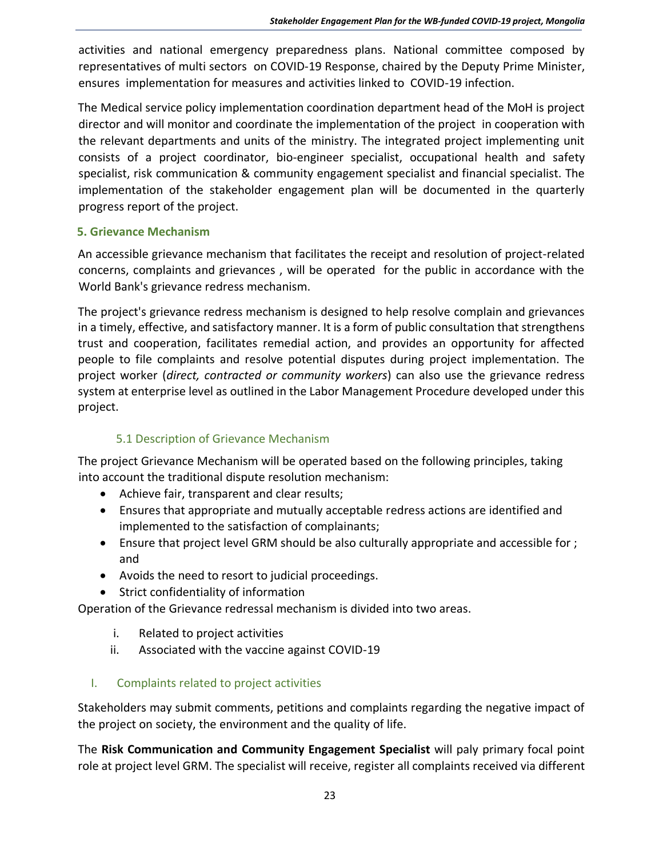activities and national emergency preparedness plans. National committee composed by representatives of multi sectors on COVID-19 Response, chaired by the Deputy Prime Minister, ensures implementation for measures and activities linked to COVID-19 infection.

The Medical service policy implementation coordination department head of the MoH is project director and will monitor and coordinate the implementation of the project in cooperation with the relevant departments and units of the ministry. The integrated project implementing unit consists of a project coordinator, bio-engineer specialist, occupational health and safety specialist, risk communication & community engagement specialist and financial specialist. The implementation of the stakeholder engagement plan will be documented in the quarterly progress report of the project.

### <span id="page-22-0"></span>**5. Grievance Mechanism**

An accessible grievance mechanism that facilitates the receipt and resolution of project-related concerns, complaints and grievances , will be operated for the public in accordance with the World Bank's grievance redress mechanism.

The project's grievance redress mechanism is designed to help resolve complain and grievances in a timely, effective, and satisfactory manner. It is a form of public consultation that strengthens trust and cooperation, facilitates remedial action, and provides an opportunity for affected people to file complaints and resolve potential disputes during project implementation. The project worker (*direct, contracted or community workers*) can also use the grievance redress system at enterprise level as outlined in the Labor Management Procedure developed under this project.

# 5.1 Description of Grievance Mechanism

<span id="page-22-1"></span>The project Grievance Mechanism will be operated based on the following principles, taking into account the traditional dispute resolution mechanism:

- Achieve fair, transparent and clear results;
- Ensures that appropriate and mutually acceptable redress actions are identified and implemented to the satisfaction of complainants;
- Ensure that project level GRM should be also culturally appropriate and accessible for ; and
- Avoids the need to resort to judicial proceedings.
- Strict confidentiality of information

Operation of the Grievance redressal mechanism is divided into two areas.

- i. Related to project activities
- ii. Associated with the vaccine against COVID-19
- I. Complaints related to project activities

Stakeholders may submit comments, petitions and complaints regarding the negative impact of the project on society, the environment and the quality of life.

The **Risk Communication and Community Engagement Specialist** will paly primary focal point role at project level GRM. The specialist will receive, register all complaints received via different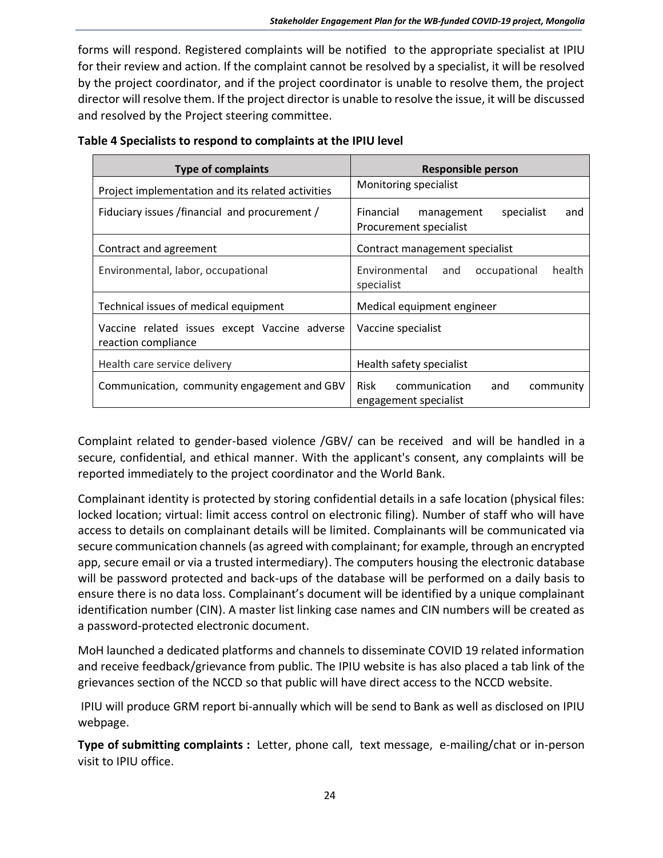forms will respond. Registered complaints will be notified to the appropriate specialist at IPIU for their review and action. If the complaint cannot be resolved by a specialist, it will be resolved by the project coordinator, and if the project coordinator is unable to resolve them, the project director will resolve them. If the project director is unable to resolve the issue, it will be discussed and resolved by the Project steering committee.

| <b>Type of complaints</b>                                            | <b>Responsible person</b>                                              |
|----------------------------------------------------------------------|------------------------------------------------------------------------|
| Project implementation and its related activities                    | Monitoring specialist                                                  |
| Fiduciary issues / financial and procurement /                       | Financial<br>specialist<br>management<br>and<br>Procurement specialist |
| Contract and agreement                                               | Contract management specialist                                         |
| Environmental, labor, occupational                                   | Environmental and<br>health<br>occupational<br>specialist              |
| Technical issues of medical equipment                                | Medical equipment engineer                                             |
| Vaccine related issues except Vaccine adverse<br>reaction compliance | Vaccine specialist                                                     |
| Health care service delivery                                         | Health safety specialist                                               |
| Communication, community engagement and GBV                          | Risk<br>communication<br>and<br>community<br>engagement specialist     |

| Table 4 Specialists to respond to complaints at the IPIU level |  |  |  |
|----------------------------------------------------------------|--|--|--|
|----------------------------------------------------------------|--|--|--|

Complaint related to gender-based violence /GBV/ can be received and will be handled in a secure, confidential, and ethical manner. With the applicant's consent, any complaints will be reported immediately to the project coordinator and the World Bank.

Complainant identity is protected by storing confidential details in a safe location (physical files: locked location; virtual: limit access control on electronic filing). Number of staff who will have access to details on complainant details will be limited. Complainants will be communicated via secure communication channels (as agreed with complainant; for example, through an encrypted app, secure email or via a trusted intermediary). The computers housing the electronic database will be password protected and back-ups of the database will be performed on a daily basis to ensure there is no data loss. Complainant's document will be identified by a unique complainant identification number (CIN). A master list linking case names and CIN numbers will be created as a password-protected electronic document.

MoH launched a dedicated platforms and channels to disseminate COVID 19 related information and receive feedback/grievance from public. The IPIU website is has also placed a tab link of the grievances section of the NCCD so that public will have direct access to the NCCD website.

IPIU will produce GRM report bi-annually which will be send to Bank as well as disclosed on IPIU webpage.

**Type of submitting complaints :** Letter, phone call, text message, e-mailing/chat or in-person visit to IPIU office.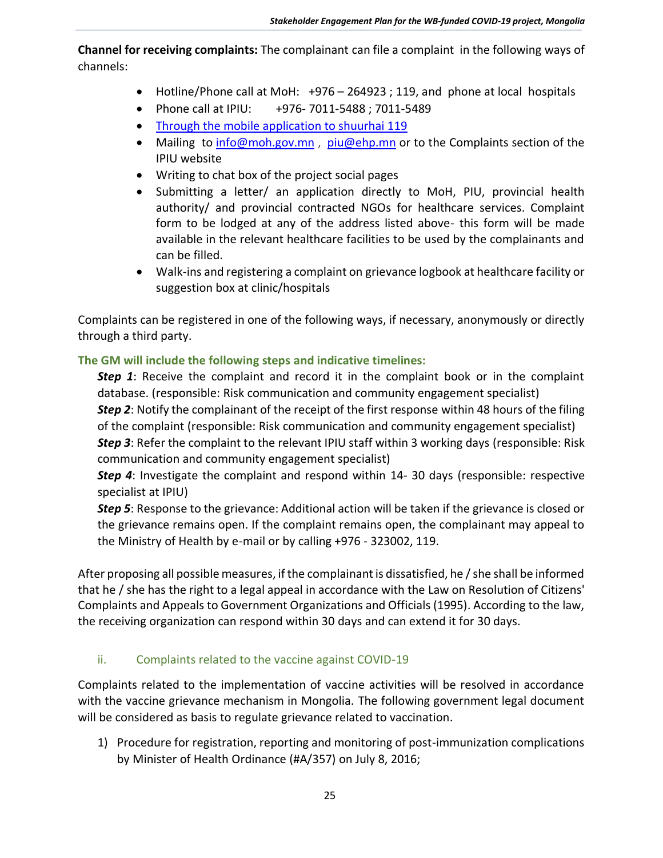**Channel for receiving complaints:** The complainant can file a complaint in the following ways of channels:

- Hotline/Phone call at MoH: +976 264923 ; 119, and phone at local hospitals
- Phone call at IPIU: +976- 7011-5488 ; 7011-5489
- Through the mobile application to shuurhai 119
- Mailing to [info@moh.gov.mn](mailto:info@moh.gov.mn), [piu@ehp.mn](mailto:piu@ehp.mn) or to the Complaints section of the IPIU website
- Writing to chat box of the project social pages
- Submitting a letter/ an application directly to MoH, PIU, provincial health authority/ and provincial contracted NGOs for healthcare services. Complaint form to be lodged at any of the address listed above- this form will be made available in the relevant healthcare facilities to be used by the complainants and can be filled.
- Walk-ins and registering a complaint on grievance logbook at healthcare facility or suggestion box at clinic/hospitals

Complaints can be registered in one of the following ways, if necessary, anonymously or directly through a third party.

## **The GM will include the following steps and indicative timelines:**

**Step 1**: Receive the complaint and record it in the complaint book or in the complaint database. (responsible: Risk communication and community engagement specialist) *Step 2*: Notify the complainant of the receipt of the first response within 48 hours of the filing of the complaint (responsible: Risk communication and community engagement specialist) *Step 3*: Refer the complaint to the relevant IPIU staff within 3 working days (responsible: Risk communication and community engagement specialist)

*Step 4*: Investigate the complaint and respond within 14- 30 days (responsible: respective specialist at IPIU)

*Step 5*: Response to the grievance: Additional action will be taken if the grievance is closed or the grievance remains open. If the complaint remains open, the complainant may appeal to the Ministry of Health by e-mail or by calling +976 - 323002, 119.

After proposing all possible measures, if the complainant is dissatisfied, he / she shall be informed that he / she has the right to a legal appeal in accordance with the Law on Resolution of Citizens' Complaints and Appeals to Government Organizations and Officials (1995). According to the law, the receiving organization can respond within 30 days and can extend it for 30 days.

### ii. Complaints related to the vaccine against COVID-19

Complaints related to the implementation of vaccine activities will be resolved in accordance with the vaccine grievance mechanism in Mongolia. The following government legal document will be considered as basis to regulate grievance related to vaccination.

1) Procedure for registration, reporting and monitoring of post-immunization complications by Minister of Health Ordinance (#A/357) on July 8, 2016;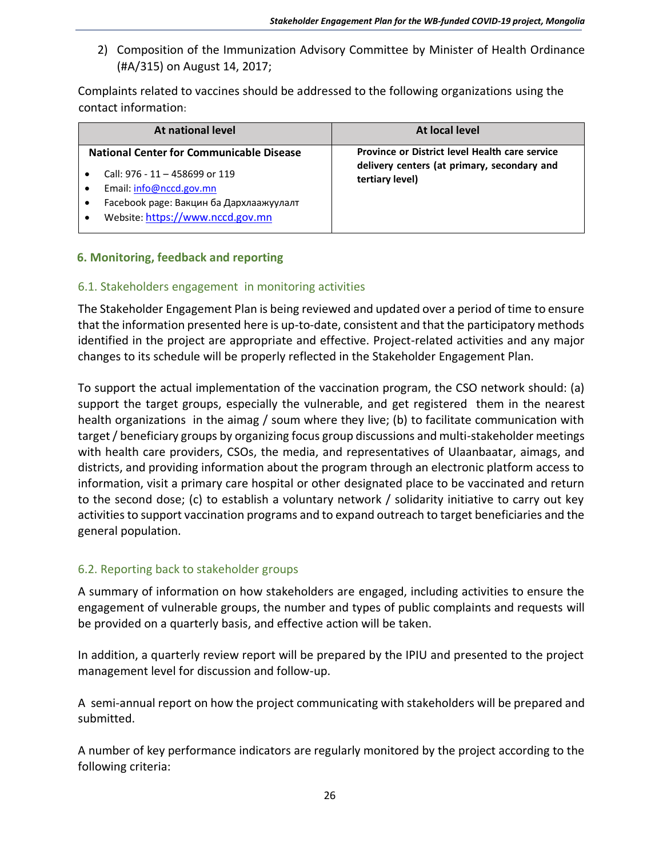2) Composition of the Immunization Advisory Committee by Minister of Health Ordinance (#A/315) on August 14, 2017;

Complaints related to vaccines should be addressed to the following organizations using the contact information:

| At national level                                                                                                                                                                           | At local level                                                                                                   |
|---------------------------------------------------------------------------------------------------------------------------------------------------------------------------------------------|------------------------------------------------------------------------------------------------------------------|
| <b>National Center for Communicable Disease</b><br>Call: 976 - 11 - 458699 or 119<br>Email: info@nccd.gov.mn<br>Facebook page: Вакцин ба Дархлаажуулалт<br>Website: https://www.nccd.gov.mn | Province or District level Health care service<br>delivery centers (at primary, secondary and<br>tertiary level) |

## <span id="page-25-0"></span>**6. Monitoring, feedback and reporting**

### <span id="page-25-1"></span>6.1. Stakeholders engagement in monitoring activities

The Stakeholder Engagement Plan is being reviewed and updated over a period of time to ensure that the information presented here is up-to-date, consistent and that the participatory methods identified in the project are appropriate and effective. Project-related activities and any major changes to its schedule will be properly reflected in the Stakeholder Engagement Plan.

To support the actual implementation of the vaccination program, the CSO network should: (a) support the target groups, especially the vulnerable, and get registered them in the nearest health organizations in the aimag / soum where they live; (b) to facilitate communication with target / beneficiary groups by organizing focus group discussions and multi-stakeholder meetings with health care providers, CSOs, the media, and representatives of Ulaanbaatar, aimags, and districts, and providing information about the program through an electronic platform access to information, visit a primary care hospital or other designated place to be vaccinated and return to the second dose; (c) to establish a voluntary network / solidarity initiative to carry out key activities to support vaccination programs and to expand outreach to target beneficiaries and the general population.

### <span id="page-25-2"></span>6.2. Reporting back to stakeholder groups

A summary of information on how stakeholders are engaged, including activities to ensure the engagement of vulnerable groups, the number and types of public complaints and requests will be provided on a quarterly basis, and effective action will be taken.

In addition, a quarterly review report will be prepared by the IPIU and presented to the project management level for discussion and follow-up.

A semi-annual report on how the project communicating with stakeholders will be prepared and submitted.

A number of key performance indicators are regularly monitored by the project according to the following criteria: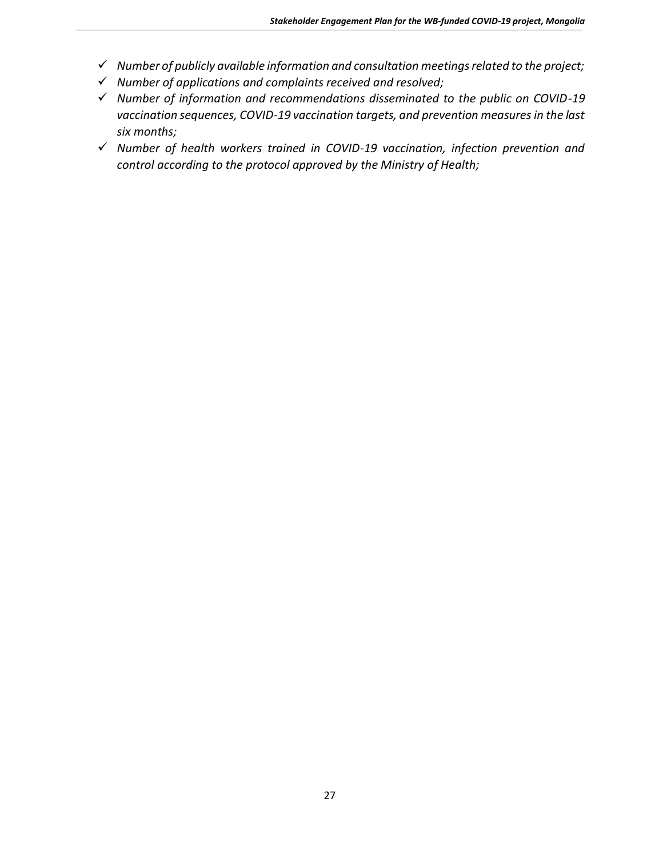- ✓ *Number of publicly available information and consultation meetings related to the project;*
- ✓ *Number of applications and complaints received and resolved;*
- ✓ *Number of information and recommendations disseminated to the public on COVID-19 vaccination sequences, COVID-19 vaccination targets, and prevention measures in the last six months;*
- ✓ *Number of health workers trained in COVID-19 vaccination, infection prevention and control according to the protocol approved by the Ministry of Health;*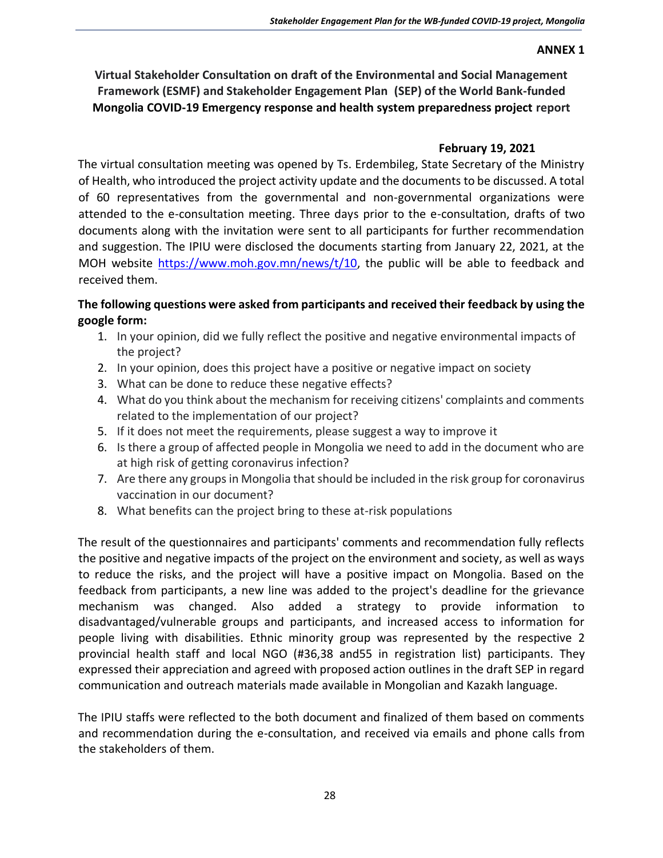#### **ANNEX 1**

**Virtual Stakeholder Consultation on draft of the Environmental and Social Management Framework (ESMF) and Stakeholder Engagement Plan (SEP) of the World Bank-funded Mongolia COVID-19 Emergency response and health system preparedness project report** 

### **February 19, 2021**

The virtual consultation meeting was opened by Ts. Erdembileg, State Secretary of the Ministry of Health, who introduced the project activity update and the documents to be discussed. A total of 60 representatives from the governmental and non-governmental organizations were attended to the e-consultation meeting. Three days prior to the e-consultation, drafts of two documents along with the invitation were sent to all participants for further recommendation and suggestion. The IPIU were disclosed the documents starting from January 22, 2021, at the MOH website [https://www.moh.gov.mn/news/t/10,](https://www.moh.gov.mn/news/t/10) the public will be able to feedback and received them.

### **The following questions were asked from participants and received their feedback by using the google form:**

- 1. In your opinion, did we fully reflect the positive and negative environmental impacts of the project?
- 2. In your opinion, does this project have a positive or negative impact on society
- 3. What can be done to reduce these negative effects?
- 4. What do you think about the mechanism for receiving citizens' complaints and comments related to the implementation of our project?
- 5. If it does not meet the requirements, please suggest a way to improve it
- 6. Is there a group of affected people in Mongolia we need to add in the document who are at high risk of getting coronavirus infection?
- 7. Are there any groups in Mongolia that should be included in the risk group for coronavirus vaccination in our document?
- 8. What benefits can the project bring to these at-risk populations

The result of the questionnaires and participants' comments and recommendation fully reflects the positive and negative impacts of the project on the environment and society, as well as ways to reduce the risks, and the project will have a positive impact on Mongolia. Based on the feedback from participants, a new line was added to the project's deadline for the grievance mechanism was changed. Also added a strategy to provide information to disadvantaged/vulnerable groups and participants, and increased access to information for people living with disabilities. Ethnic minority group was represented by the respective 2 provincial health staff and local NGO (#36,38 and55 in registration list) participants. They expressed their appreciation and agreed with proposed action outlines in the draft SEP in regard communication and outreach materials made available in Mongolian and Kazakh language.

The IPIU staffs were reflected to the both document and finalized of them based on comments and recommendation during the e-consultation, and received via emails and phone calls from the stakeholders of them.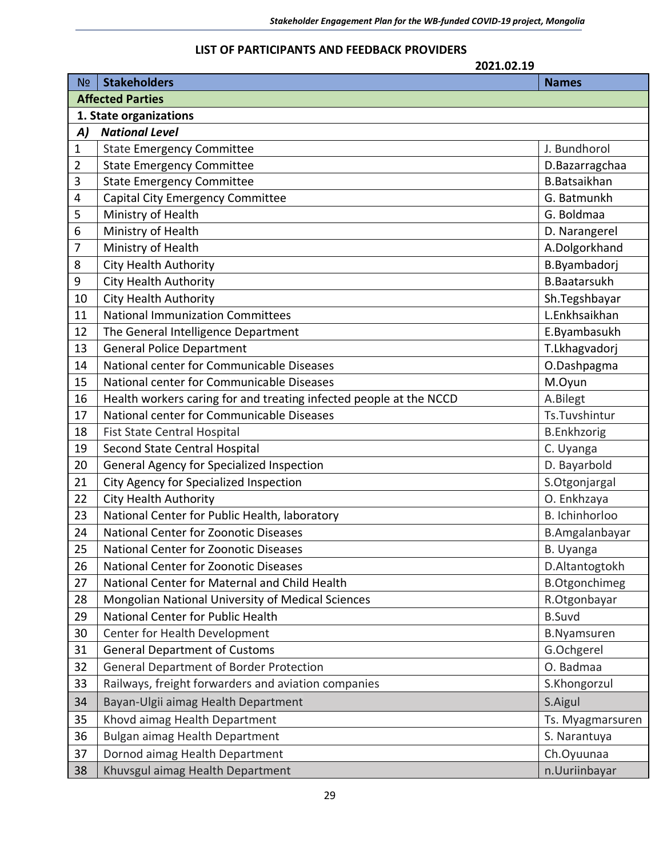#### **LIST OF PARTICIPANTS AND FEEDBACK PROVIDERS**

|                         | 2021.02.19                                                         |                      |  |
|-------------------------|--------------------------------------------------------------------|----------------------|--|
| N <sub>o</sub>          | <b>Stakeholders</b>                                                | <b>Names</b>         |  |
| <b>Affected Parties</b> |                                                                    |                      |  |
| 1. State organizations  |                                                                    |                      |  |
| A)                      | <b>National Level</b>                                              |                      |  |
| $\mathbf 1$             | <b>State Emergency Committee</b>                                   | J. Bundhorol         |  |
| 2                       | <b>State Emergency Committee</b>                                   | D.Bazarragchaa       |  |
| 3                       | <b>State Emergency Committee</b>                                   | <b>B.Batsaikhan</b>  |  |
| 4                       | Capital City Emergency Committee                                   | G. Batmunkh          |  |
| 5                       | Ministry of Health                                                 | G. Boldmaa           |  |
| 6                       | Ministry of Health                                                 | D. Narangerel        |  |
| 7                       | Ministry of Health                                                 | A.Dolgorkhand        |  |
| 8                       | <b>City Health Authority</b>                                       | B.Byambadorj         |  |
| 9                       | <b>City Health Authority</b>                                       | <b>B.Baatarsukh</b>  |  |
| 10                      | <b>City Health Authority</b>                                       | Sh.Tegshbayar        |  |
| 11                      | <b>National Immunization Committees</b>                            | L.Enkhsaikhan        |  |
| 12                      | The General Intelligence Department                                | E.Byambasukh         |  |
| 13                      | <b>General Police Department</b>                                   | T.Lkhagvadorj        |  |
| 14                      | National center for Communicable Diseases                          | O.Dashpagma          |  |
| 15                      | National center for Communicable Diseases                          | M.Oyun               |  |
| 16                      | Health workers caring for and treating infected people at the NCCD | A.Bilegt             |  |
| 17                      | National center for Communicable Diseases                          | Ts.Tuvshintur        |  |
| 18                      | Fist State Central Hospital                                        | <b>B.Enkhzorig</b>   |  |
| 19                      | Second State Central Hospital                                      | C. Uyanga            |  |
| 20                      | General Agency for Specialized Inspection                          | D. Bayarbold         |  |
| 21                      | City Agency for Specialized Inspection                             | S.Otgonjargal        |  |
| 22                      | <b>City Health Authority</b>                                       | O. Enkhzaya          |  |
| 23                      | National Center for Public Health, laboratory                      | B. Ichinhorloo       |  |
| 24                      | National Center for Zoonotic Diseases                              | B.Amgalanbayar       |  |
| 25                      | National Center for Zoonotic Diseases                              | B. Uyanga            |  |
| 26                      | National Center for Zoonotic Diseases                              | D.Altantogtokh       |  |
| 27                      | National Center for Maternal and Child Health                      | <b>B.Otgonchimeg</b> |  |
| 28                      | Mongolian National University of Medical Sciences                  | R.Otgonbayar         |  |
| 29                      | National Center for Public Health                                  | <b>B.Suvd</b>        |  |
| 30                      | Center for Health Development                                      | <b>B.Nyamsuren</b>   |  |
| 31                      | <b>General Department of Customs</b>                               | G.Ochgerel           |  |
| 32                      | <b>General Department of Border Protection</b>                     | O. Badmaa            |  |
| 33                      | Railways, freight forwarders and aviation companies                | S.Khongorzul         |  |
| 34                      | Bayan-Ulgii aimag Health Department                                | S.Aigul              |  |
| 35                      | Khovd aimag Health Department                                      | Ts. Myagmarsuren     |  |
| 36                      | Bulgan aimag Health Department                                     | S. Narantuya         |  |
| 37                      | Dornod aimag Health Department                                     | Ch.Oyuunaa           |  |
| 38                      | Khuvsgul aimag Health Department                                   | n.Uuriinbayar        |  |